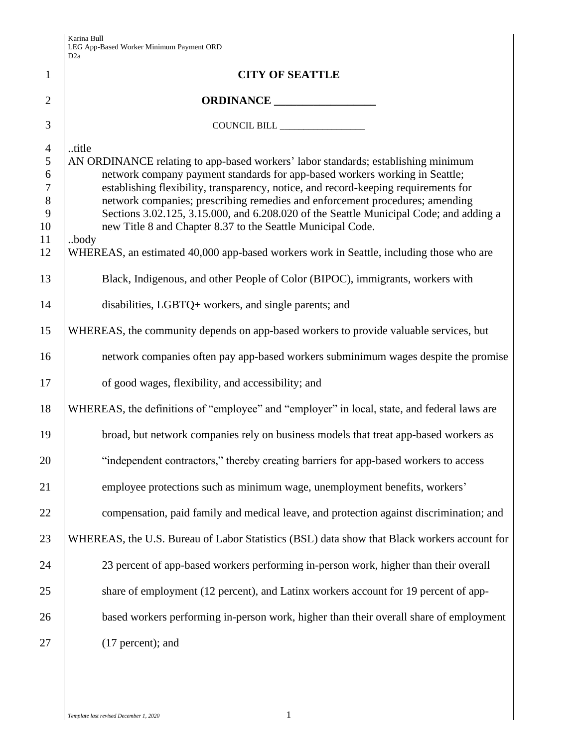|                | D <sub>2a</sub>                                                                                                                                                        |
|----------------|------------------------------------------------------------------------------------------------------------------------------------------------------------------------|
| $\mathbf{1}$   | <b>CITY OF SEATTLE</b>                                                                                                                                                 |
| $\overline{2}$ | ORDINANCE                                                                                                                                                              |
| 3              |                                                                                                                                                                        |
| $\overline{4}$ | title                                                                                                                                                                  |
| 5              | AN ORDINANCE relating to app-based workers' labor standards; establishing minimum                                                                                      |
| 6              | network company payment standards for app-based workers working in Seattle;                                                                                            |
| $\tau$         | establishing flexibility, transparency, notice, and record-keeping requirements for                                                                                    |
| 8<br>9         | network companies; prescribing remedies and enforcement procedures; amending<br>Sections 3.02.125, 3.15.000, and 6.208.020 of the Seattle Municipal Code; and adding a |
| 10             | new Title 8 and Chapter 8.37 to the Seattle Municipal Code.                                                                                                            |
| 11             | body                                                                                                                                                                   |
| 12             | WHEREAS, an estimated 40,000 app-based workers work in Seattle, including those who are                                                                                |
| 13             | Black, Indigenous, and other People of Color (BIPOC), immigrants, workers with                                                                                         |
| 14             | disabilities, LGBTQ+ workers, and single parents; and                                                                                                                  |
| 15             | WHEREAS, the community depends on app-based workers to provide valuable services, but                                                                                  |
| 16             | network companies often pay app-based workers subminimum wages despite the promise                                                                                     |
| 17             | of good wages, flexibility, and accessibility; and                                                                                                                     |
| 18             | WHEREAS, the definitions of "employee" and "employer" in local, state, and federal laws are                                                                            |
| 19             | broad, but network companies rely on business models that treat app-based workers as                                                                                   |
| 20             | "independent contractors," thereby creating barriers for app-based workers to access                                                                                   |
| 21             | employee protections such as minimum wage, unemployment benefits, workers'                                                                                             |
| 22             | compensation, paid family and medical leave, and protection against discrimination; and                                                                                |
| 23             | WHEREAS, the U.S. Bureau of Labor Statistics (BSL) data show that Black workers account for                                                                            |
| 24             | 23 percent of app-based workers performing in-person work, higher than their overall                                                                                   |
| 25             | share of employment (12 percent), and Latinx workers account for 19 percent of app-                                                                                    |
| 26             | based workers performing in-person work, higher than their overall share of employment                                                                                 |
| 27             | $(17$ percent); and                                                                                                                                                    |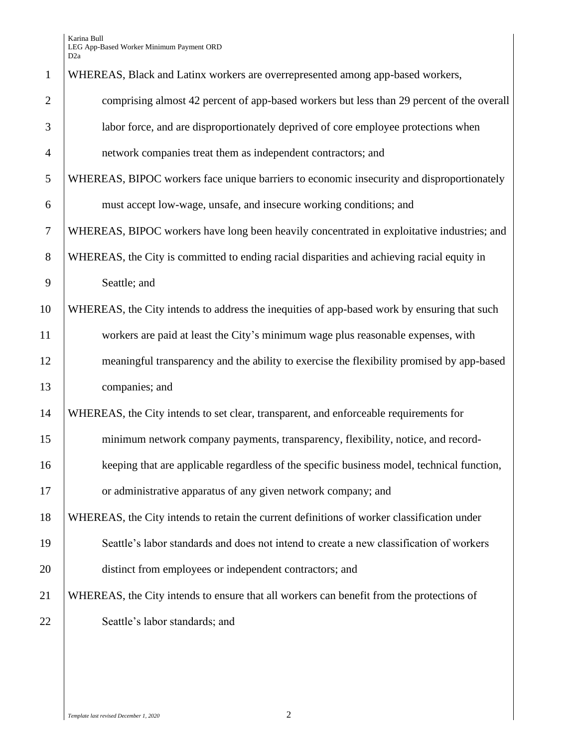| $\mathbf{1}$   | WHEREAS, Black and Latinx workers are overrepresented among app-based workers,              |
|----------------|---------------------------------------------------------------------------------------------|
| $\overline{2}$ | comprising almost 42 percent of app-based workers but less than 29 percent of the overall   |
|                |                                                                                             |
| 3              | labor force, and are disproportionately deprived of core employee protections when          |
| $\overline{4}$ | network companies treat them as independent contractors; and                                |
| 5              | WHEREAS, BIPOC workers face unique barriers to economic insecurity and disproportionately   |
| 6              | must accept low-wage, unsafe, and insecure working conditions; and                          |
| $\tau$         | WHEREAS, BIPOC workers have long been heavily concentrated in exploitative industries; and  |
| 8              | WHEREAS, the City is committed to ending racial disparities and achieving racial equity in  |
| 9              | Seattle; and                                                                                |
| 10             | WHEREAS, the City intends to address the inequities of app-based work by ensuring that such |
| 11             | workers are paid at least the City's minimum wage plus reasonable expenses, with            |
| 12             | meaningful transparency and the ability to exercise the flexibility promised by app-based   |
| 13             | companies; and                                                                              |
| 14             | WHEREAS, the City intends to set clear, transparent, and enforceable requirements for       |
| 15             | minimum network company payments, transparency, flexibility, notice, and record-            |
| 16             | keeping that are applicable regardless of the specific business model, technical function,  |
| 17             | or administrative apparatus of any given network company; and                               |
| 18             | WHEREAS, the City intends to retain the current definitions of worker classification under  |
| 19             | Seattle's labor standards and does not intend to create a new classification of workers     |
| 20             | distinct from employees or independent contractors; and                                     |
| 21             | WHEREAS, the City intends to ensure that all workers can benefit from the protections of    |
| 22             | Seattle's labor standards; and                                                              |
|                |                                                                                             |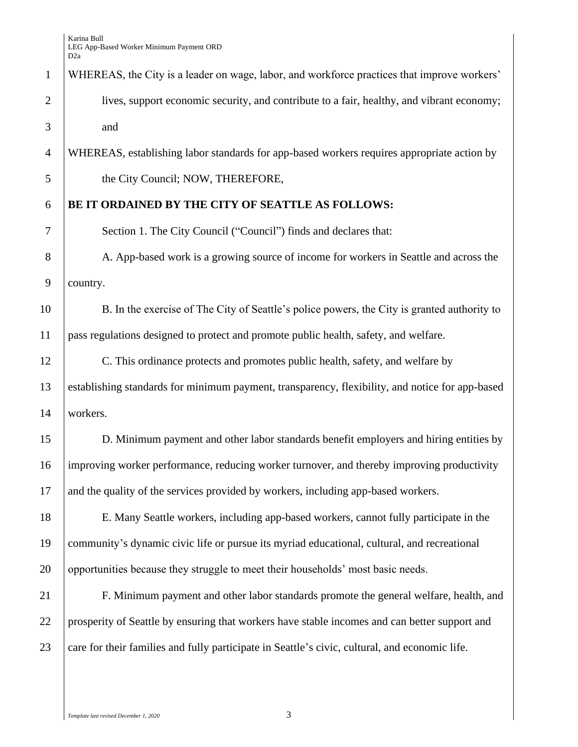# WHEREAS, the City is a leader on wage, labor, and workforce practices that improve workers' lives, support economic security, and contribute to a fair, healthy, and vibrant economy; and

WHEREAS, establishing labor standards for app-based workers requires appropriate action by

5 the City Council; NOW, THEREFORE,

## **BE IT ORDAINED BY THE CITY OF SEATTLE AS FOLLOWS:**

Section 1. The City Council ("Council") finds and declares that:

8 A. App-based work is a growing source of income for workers in Seattle and across the country.

10 B. In the exercise of The City of Seattle's police powers, the City is granted authority to pass regulations designed to protect and promote public health, safety, and welfare.

 C. This ordinance protects and promotes public health, safety, and welfare by establishing standards for minimum payment, transparency, flexibility, and notice for app-based workers.

 D. Minimum payment and other labor standards benefit employers and hiring entities by improving worker performance, reducing worker turnover, and thereby improving productivity 17 and the quality of the services provided by workers, including app-based workers.

 E. Many Seattle workers, including app-based workers, cannot fully participate in the community's dynamic civic life or pursue its myriad educational, cultural, and recreational 20 opportunities because they struggle to meet their households' most basic needs.

 F. Minimum payment and other labor standards promote the general welfare, health, and prosperity of Seattle by ensuring that workers have stable incomes and can better support and 23 care for their families and fully participate in Seattle's civic, cultural, and economic life.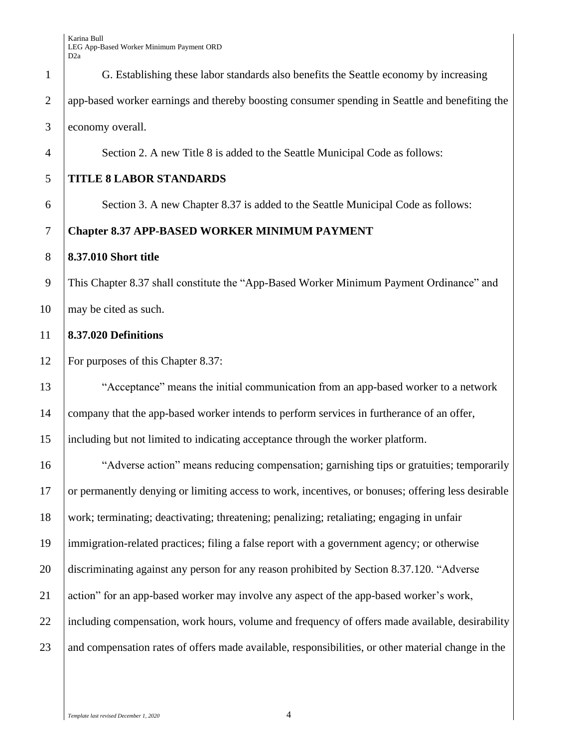G. Establishing these labor standards also benefits the Seattle economy by increasing app-based worker earnings and thereby boosting consumer spending in Seattle and benefiting the economy overall. Section 2. A new Title 8 is added to the Seattle Municipal Code as follows: **TITLE 8 LABOR STANDARDS** Section 3. A new Chapter 8.37 is added to the Seattle Municipal Code as follows: **Chapter 8.37 APP-BASED WORKER MINIMUM PAYMENT 8.37.010 Short title**  This Chapter 8.37 shall constitute the "App-Based Worker Minimum Payment Ordinance" and 10 | may be cited as such. **8.37.020 Definitions**  For purposes of this Chapter 8.37: "Acceptance" means the initial communication from an app-based worker to a network 14 company that the app-based worker intends to perform services in furtherance of an offer, including but not limited to indicating acceptance through the worker platform. "Adverse action" means reducing compensation; garnishing tips or gratuities; temporarily or permanently denying or limiting access to work, incentives, or bonuses; offering less desirable work; terminating; deactivating; threatening; penalizing; retaliating; engaging in unfair immigration-related practices; filing a false report with a government agency; or otherwise discriminating against any person for any reason prohibited by Section 8.37.120. "Adverse 21 action" for an app-based worker may involve any aspect of the app-based worker's work, 22 including compensation, work hours, volume and frequency of offers made available, desirability and compensation rates of offers made available, responsibilities, or other material change in the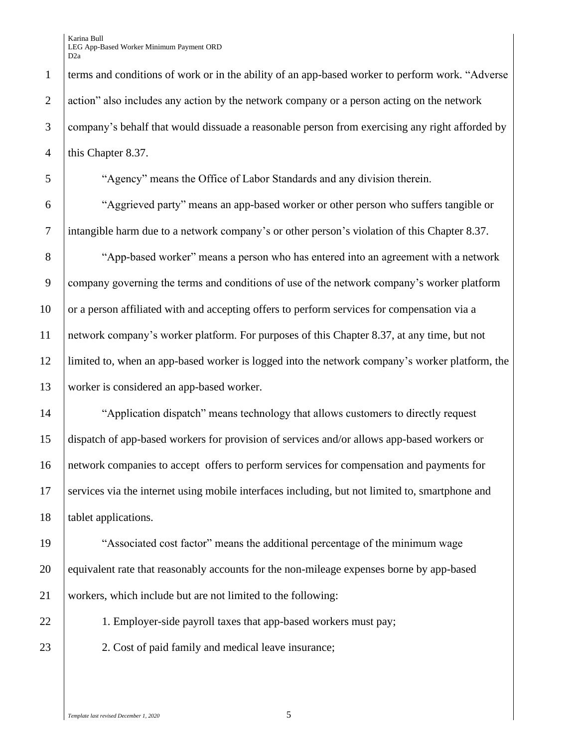1 terms and conditions of work or in the ability of an app-based worker to perform work. "Adverse 2 action" also includes any action by the network company or a person acting on the network 3 company's behalf that would dissuade a reasonable person from exercising any right afforded by 4 | this Chapter 8.37.

5 "Agency" means the Office of Labor Standards and any division therein.

6 "Aggrieved party" means an app-based worker or other person who suffers tangible or 7 intangible harm due to a network company's or other person's violation of this Chapter 8.37.

 "App-based worker" means a person who has entered into an agreement with a network company governing the terms and conditions of use of the network company's worker platform 10 or a person affiliated with and accepting offers to perform services for compensation via a network company's worker platform. For purposes of this Chapter 8.37, at any time, but not limited to, when an app-based worker is logged into the network company's worker platform, the worker is considered an app-based worker.

14 | "Application dispatch" means technology that allows customers to directly request 15 dispatch of app-based workers for provision of services and/or allows app-based workers or 16 network companies to accept offers to perform services for compensation and payments for 17 services via the internet using mobile interfaces including, but not limited to, smartphone and 18 | tablet applications.

19 "Associated cost factor" means the additional percentage of the minimum wage 20 equivalent rate that reasonably accounts for the non-mileage expenses borne by app-based 21 workers, which include but are not limited to the following:

22 1. Employer-side payroll taxes that app-based workers must pay;

23 2. Cost of paid family and medical leave insurance;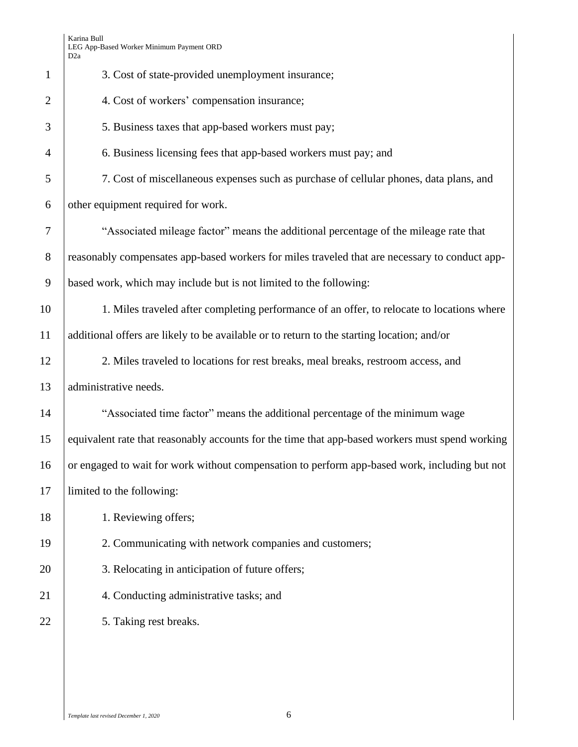|                | D <sub>2</sub> a                                                                                |
|----------------|-------------------------------------------------------------------------------------------------|
| $\mathbf{1}$   | 3. Cost of state-provided unemployment insurance;                                               |
| $\overline{2}$ | 4. Cost of workers' compensation insurance;                                                     |
| 3              | 5. Business taxes that app-based workers must pay;                                              |
| $\overline{4}$ | 6. Business licensing fees that app-based workers must pay; and                                 |
| 5              | 7. Cost of miscellaneous expenses such as purchase of cellular phones, data plans, and          |
| 6              | other equipment required for work.                                                              |
| 7              | "Associated mileage factor" means the additional percentage of the mileage rate that            |
| $8\,$          | reasonably compensates app-based workers for miles traveled that are necessary to conduct app-  |
| 9              | based work, which may include but is not limited to the following:                              |
| 10             | 1. Miles traveled after completing performance of an offer, to relocate to locations where      |
| 11             | additional offers are likely to be available or to return to the starting location; and/or      |
| 12             | 2. Miles traveled to locations for rest breaks, meal breaks, restroom access, and               |
| 13             | administrative needs.                                                                           |
| 14             | "Associated time factor" means the additional percentage of the minimum wage                    |
| 15             | equivalent rate that reasonably accounts for the time that app-based workers must spend working |
| 16             | or engaged to wait for work without compensation to perform app-based work, including but not   |
| 17             | limited to the following:                                                                       |
| 18             | 1. Reviewing offers;                                                                            |
| 19             | 2. Communicating with network companies and customers;                                          |
| 20             | 3. Relocating in anticipation of future offers;                                                 |
| 21             | 4. Conducting administrative tasks; and                                                         |
| 22             | 5. Taking rest breaks.                                                                          |
|                |                                                                                                 |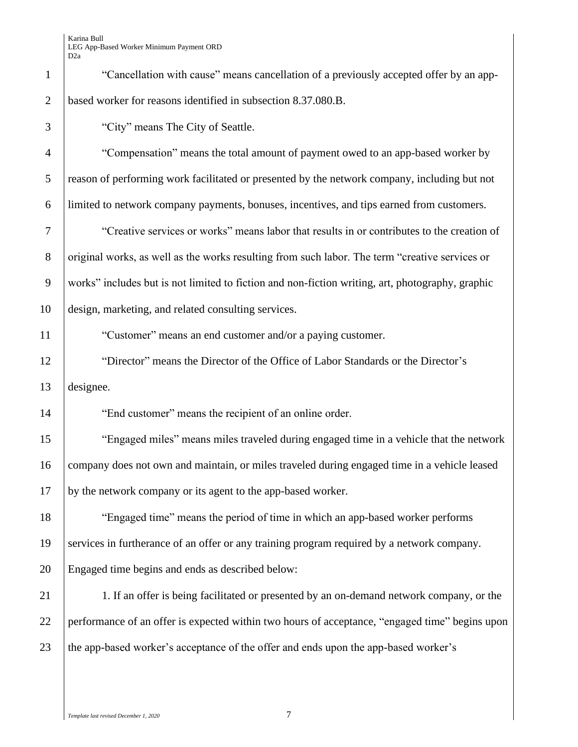| $\mathbf{1}$   | "Cancellation with cause" means cancellation of a previously accepted offer by an app-           |
|----------------|--------------------------------------------------------------------------------------------------|
| $\overline{2}$ | based worker for reasons identified in subsection 8.37.080.B.                                    |
| 3              | "City" means The City of Seattle.                                                                |
| $\overline{4}$ | "Compensation" means the total amount of payment owed to an app-based worker by                  |
| 5              | reason of performing work facilitated or presented by the network company, including but not     |
| 6              | limited to network company payments, bonuses, incentives, and tips earned from customers.        |
| 7              | "Creative services or works" means labor that results in or contributes to the creation of       |
| $8\phantom{1}$ | original works, as well as the works resulting from such labor. The term "creative services or   |
| 9              | works" includes but is not limited to fiction and non-fiction writing, art, photography, graphic |
| 10             | design, marketing, and related consulting services.                                              |
| 11             | "Customer" means an end customer and/or a paying customer.                                       |
| 12             | "Director" means the Director of the Office of Labor Standards or the Director's                 |
| 13             | designee.                                                                                        |
| 14             | "End customer" means the recipient of an online order.                                           |
| 15             | "Engaged miles" means miles traveled during engaged time in a vehicle that the network           |
| 16             | company does not own and maintain, or miles traveled during engaged time in a vehicle leased     |
| 17             | by the network company or its agent to the app-based worker.                                     |
| 18             | "Engaged time" means the period of time in which an app-based worker performs                    |
| 19             | services in furtherance of an offer or any training program required by a network company.       |
| 20             | Engaged time begins and ends as described below:                                                 |
| 21             | 1. If an offer is being facilitated or presented by an on-demand network company, or the         |
| 22             | performance of an offer is expected within two hours of acceptance, "engaged time" begins upon   |
| 23             | the app-based worker's acceptance of the offer and ends upon the app-based worker's              |
|                |                                                                                                  |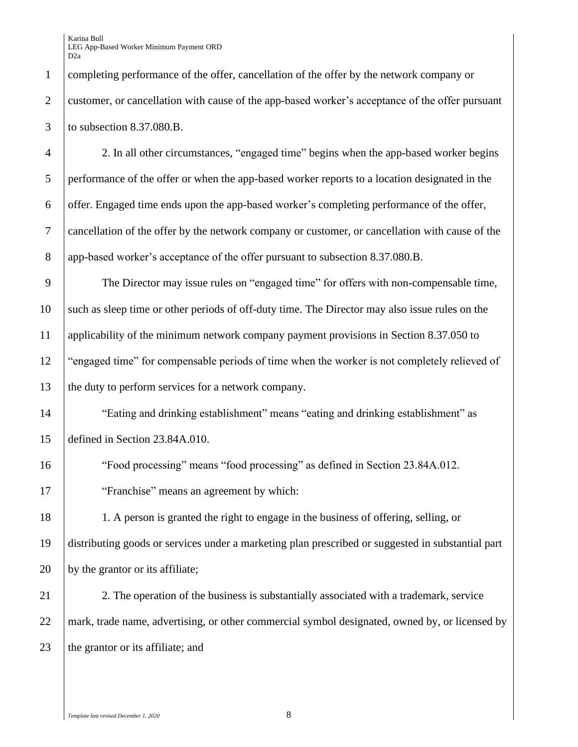completing performance of the offer, cancellation of the offer by the network company or customer, or cancellation with cause of the app-based worker's acceptance of the offer pursuant to subsection 8.37.080.B.

 2. In all other circumstances, "engaged time" begins when the app-based worker begins performance of the offer or when the app-based worker reports to a location designated in the offer. Engaged time ends upon the app-based worker's completing performance of the offer, cancellation of the offer by the network company or customer, or cancellation with cause of the 8 app-based worker's acceptance of the offer pursuant to subsection 8.37.080.B.

 The Director may issue rules on "engaged time" for offers with non-compensable time, such as sleep time or other periods of off-duty time. The Director may also issue rules on the applicability of the minimum network company payment provisions in Section 8.37.050 to "engaged time" for compensable periods of time when the worker is not completely relieved of 13 the duty to perform services for a network company.

 "Eating and drinking establishment" means "eating and drinking establishment" as defined in Section 23.84A.010.

 "Food processing" means "food processing" as defined in Section 23.84A.012. 17 Tranchise" means an agreement by which:

 1. A person is granted the right to engage in the business of offering, selling, or distributing goods or services under a marketing plan prescribed or suggested in substantial part 20 by the grantor or its affiliate;

21 2. The operation of the business is substantially associated with a trademark, service mark, trade name, advertising, or other commercial symbol designated, owned by, or licensed by 23 the grantor or its affiliate; and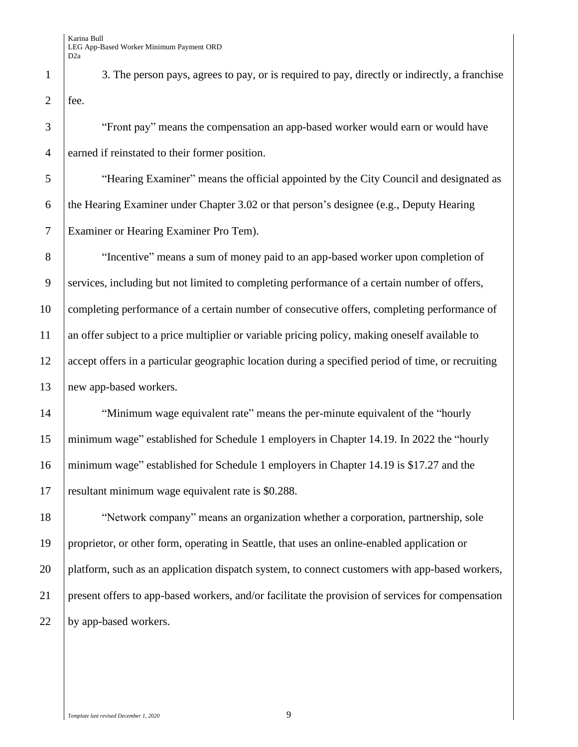1 3. The person pays, agrees to pay, or is required to pay, directly or indirectly, a franchise | fee.

 "Front pay" means the compensation an app-based worker would earn or would have earned if reinstated to their former position.

 "Hearing Examiner" means the official appointed by the City Council and designated as the Hearing Examiner under Chapter 3.02 or that person's designee (e.g., Deputy Hearing Examiner or Hearing Examiner Pro Tem).

 "Incentive" means a sum of money paid to an app-based worker upon completion of 9 Services, including but not limited to completing performance of a certain number of offers, completing performance of a certain number of consecutive offers, completing performance of an offer subject to a price multiplier or variable pricing policy, making oneself available to 12 accept offers in a particular geographic location during a specified period of time, or recruiting 13 new app-based workers.

14 Winimum wage equivalent rate" means the per-minute equivalent of the "hourly" minimum wage" established for Schedule 1 employers in Chapter 14.19. In 2022 the "hourly minimum wage" established for Schedule 1 employers in Chapter 14.19 is \$17.27 and the resultant minimum wage equivalent rate is \$0.288.

 "Network company" means an organization whether a corporation, partnership, sole proprietor, or other form, operating in Seattle, that uses an online-enabled application or platform, such as an application dispatch system, to connect customers with app-based workers, present offers to app-based workers, and/or facilitate the provision of services for compensation 22 by app-based workers.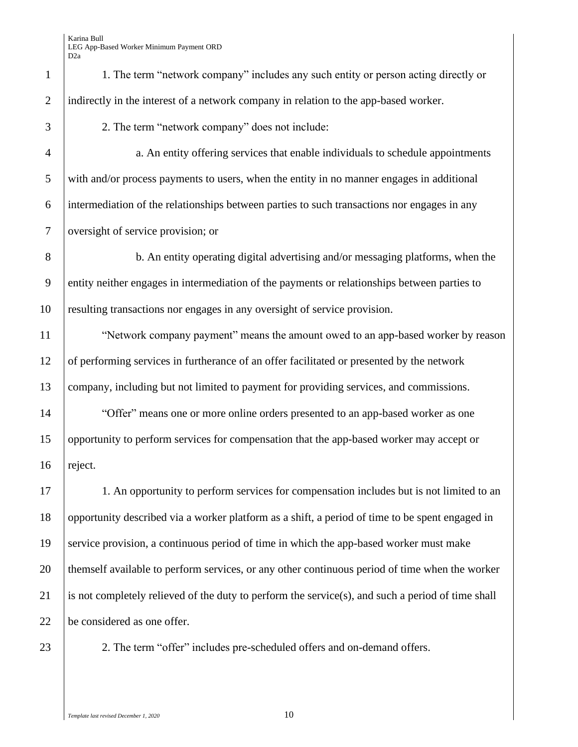| $\mathbf{1}$   | 1. The term "network company" includes any such entity or person acting directly or               |
|----------------|---------------------------------------------------------------------------------------------------|
| $\overline{2}$ | indirectly in the interest of a network company in relation to the app-based worker.              |
| 3              | 2. The term "network company" does not include:                                                   |
| $\overline{4}$ | a. An entity offering services that enable individuals to schedule appointments                   |
| 5              | with and/or process payments to users, when the entity in no manner engages in additional         |
| 6              | intermediation of the relationships between parties to such transactions nor engages in any       |
| $\overline{7}$ | oversight of service provision; or                                                                |
| 8              | b. An entity operating digital advertising and/or messaging platforms, when the                   |
| $\mathbf{9}$   | entity neither engages in intermediation of the payments or relationships between parties to      |
| 10             | resulting transactions nor engages in any oversight of service provision.                         |
| 11             | "Network company payment" means the amount owed to an app-based worker by reason                  |
| 12             | of performing services in furtherance of an offer facilitated or presented by the network         |
| 13             | company, including but not limited to payment for providing services, and commissions.            |
| 14             | "Offer" means one or more online orders presented to an app-based worker as one                   |
| 15             | opportunity to perform services for compensation that the app-based worker may accept or          |
| 16             | reject.                                                                                           |
| 17             | 1. An opportunity to perform services for compensation includes but is not limited to an          |
| 18             | opportunity described via a worker platform as a shift, a period of time to be spent engaged in   |
| 19             | service provision, a continuous period of time in which the app-based worker must make            |
| 20             | themself available to perform services, or any other continuous period of time when the worker    |
| 21             | is not completely relieved of the duty to perform the service(s), and such a period of time shall |
| 22             | be considered as one offer.                                                                       |
| 23             | 2. The term "offer" includes pre-scheduled offers and on-demand offers.                           |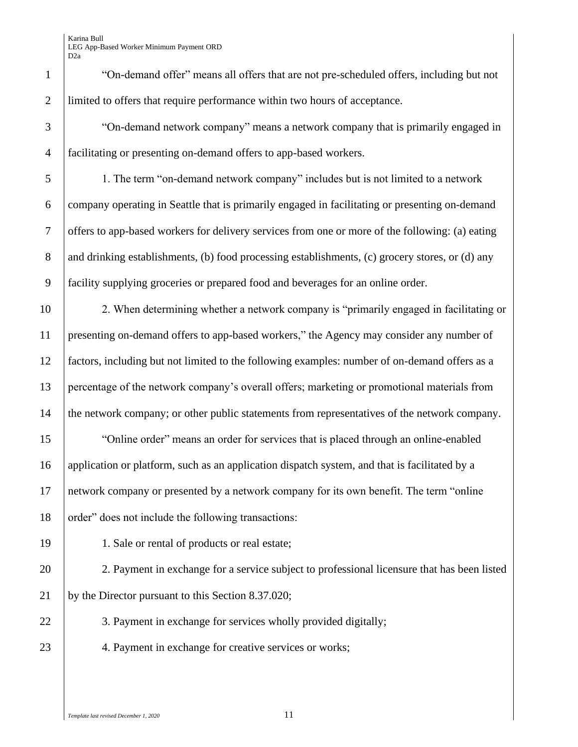1 "On-demand offer" means all offers that are not pre-scheduled offers, including but not 2 limited to offers that require performance within two hours of acceptance.

3 "On-demand network company" means a network company that is primarily engaged in 4 facilitating or presenting on-demand offers to app-based workers.

 1. The term "on-demand network company" includes but is not limited to a network company operating in Seattle that is primarily engaged in facilitating or presenting on-demand offers to app-based workers for delivery services from one or more of the following: (a) eating 8 and drinking establishments, (b) food processing establishments, (c) grocery stores, or (d) any facility supplying groceries or prepared food and beverages for an online order.

10 2. When determining whether a network company is "primarily engaged in facilitating or 11 presenting on-demand offers to app-based workers," the Agency may consider any number of 12 factors, including but not limited to the following examples: number of on-demand offers as a 13 percentage of the network company's overall offers; marketing or promotional materials from 14 the network company; or other public statements from representatives of the network company.

15 The "Online order" means an order for services that is placed through an online-enabled 16 application or platform, such as an application dispatch system, and that is facilitated by a 17 network company or presented by a network company for its own benefit. The term "online 18 order" does not include the following transactions:

19 1. Sale or rental of products or real estate;

20 2. Payment in exchange for a service subject to professional licensure that has been listed 21 by the Director pursuant to this Section 8.37.020;

22 3. Payment in exchange for services wholly provided digitally;

23 4. Payment in exchange for creative services or works;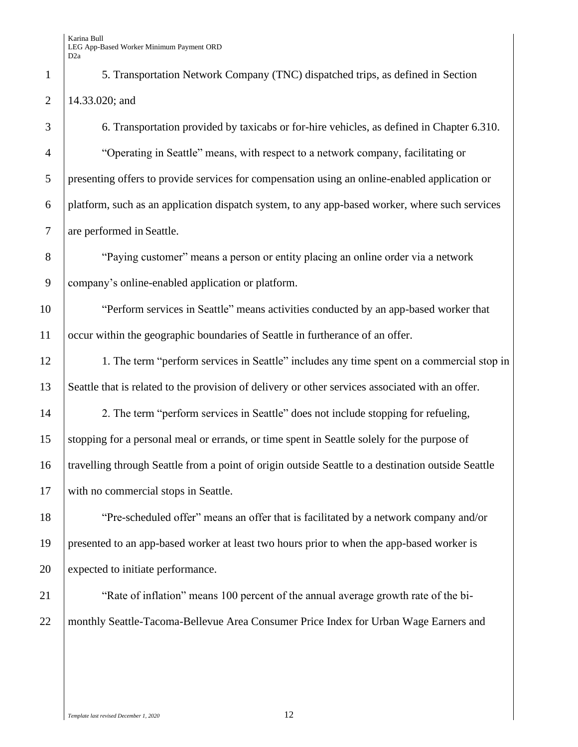5. Transportation Network Company (TNC) dispatched trips, as defined in Section 14.33.020; and

 6. Transportation provided by taxicabs or for-hire vehicles, as defined in Chapter 6.310. "Operating in Seattle" means, with respect to a network company, facilitating or presenting offers to provide services for compensation using an online-enabled application or platform, such as an application dispatch system, to any app-based worker, where such services 7 are performed in Seattle.

 "Paying customer" means a person or entity placing an online order via a network company's online-enabled application or platform.

10 Terform services in Seattle" means activities conducted by an app-based worker that occur within the geographic boundaries of Seattle in furtherance of an offer.

12 1. The term "perform services in Seattle" includes any time spent on a commercial stop in Seattle that is related to the provision of delivery or other services associated with an offer.

14 2. The term "perform services in Seattle" does not include stopping for refueling, stopping for a personal meal or errands, or time spent in Seattle solely for the purpose of travelling through Seattle from a point of origin outside Seattle to a destination outside Seattle with no commercial stops in Seattle.

 "Pre-scheduled offer" means an offer that is facilitated by a network company and/or presented to an app-based worker at least two hours prior to when the app-based worker is expected to initiate performance.

**We are Studied Theories** 100 percent of the annual average growth rate of the bi-22 | monthly Seattle-Tacoma-Bellevue Area Consumer Price Index for Urban Wage Earners and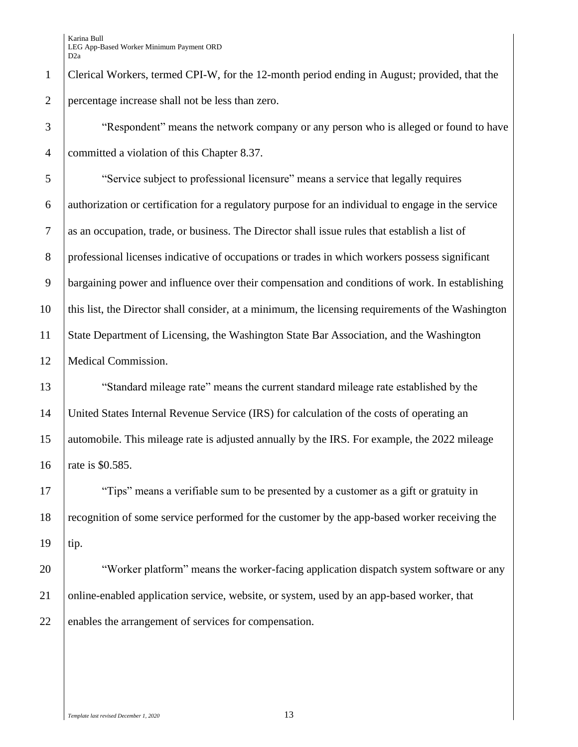Clerical Workers, termed CPI-W, for the 12-month period ending in August; provided, that the percentage increase shall not be less than zero.

 "Respondent" means the network company or any person who is alleged or found to have committed a violation of this Chapter 8.37.

 "Service subject to professional licensure" means a service that legally requires authorization or certification for a regulatory purpose for an individual to engage in the service as an occupation, trade, or business. The Director shall issue rules that establish a list of professional licenses indicative of occupations or trades in which workers possess significant bargaining power and influence over their compensation and conditions of work. In establishing this list, the Director shall consider, at a minimum, the licensing requirements of the Washington State Department of Licensing, the Washington State Bar Association, and the Washington Medical Commission.

 "Standard mileage rate" means the current standard mileage rate established by the United States Internal Revenue Service (IRS) for calculation of the costs of operating an automobile. This mileage rate is adjusted annually by the IRS. For example, the 2022 mileage 16 | rate is \$0.585.

17 Tips" means a verifiable sum to be presented by a customer as a gift or gratuity in recognition of some service performed for the customer by the app-based worker receiving the tip.

20 Worker platform" means the worker-facing application dispatch system software or any 21 online-enabled application service, website, or system, used by an app-based worker, that 22 enables the arrangement of services for compensation.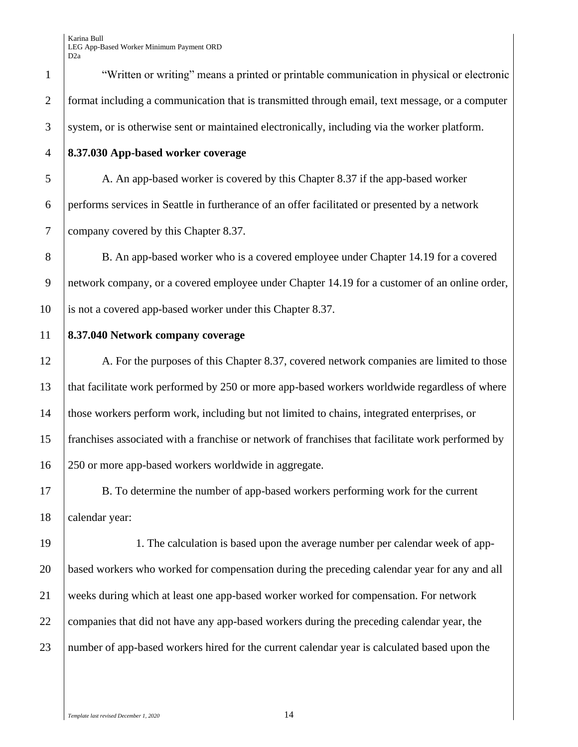"Written or writing" means a printed or printable communication in physical or electronic 2 format including a communication that is transmitted through email, text message, or a computer system, or is otherwise sent or maintained electronically, including via the worker platform.

**8.37.030 App-based worker coverage**

 A. An app-based worker is covered by this Chapter 8.37 if the app-based worker performs services in Seattle in furtherance of an offer facilitated or presented by a network company covered by this Chapter 8.37.

8 B. An app-based worker who is a covered employee under Chapter 14.19 for a covered network company, or a covered employee under Chapter 14.19 for a customer of an online order, is not a covered app-based worker under this Chapter 8.37.

#### **8.37.040 Network company coverage**

12 A. For the purposes of this Chapter 8.37, covered network companies are limited to those that facilitate work performed by 250 or more app-based workers worldwide regardless of where those workers perform work, including but not limited to chains, integrated enterprises, or franchises associated with a franchise or network of franchises that facilitate work performed by 250 or more app-based workers worldwide in aggregate.

 B. To determine the number of app-based workers performing work for the current calendar year:

 1. The calculation is based upon the average number per calendar week of app- based workers who worked for compensation during the preceding calendar year for any and all weeks during which at least one app-based worker worked for compensation. For network 22 companies that did not have any app-based workers during the preceding calendar year, the number of app-based workers hired for the current calendar year is calculated based upon the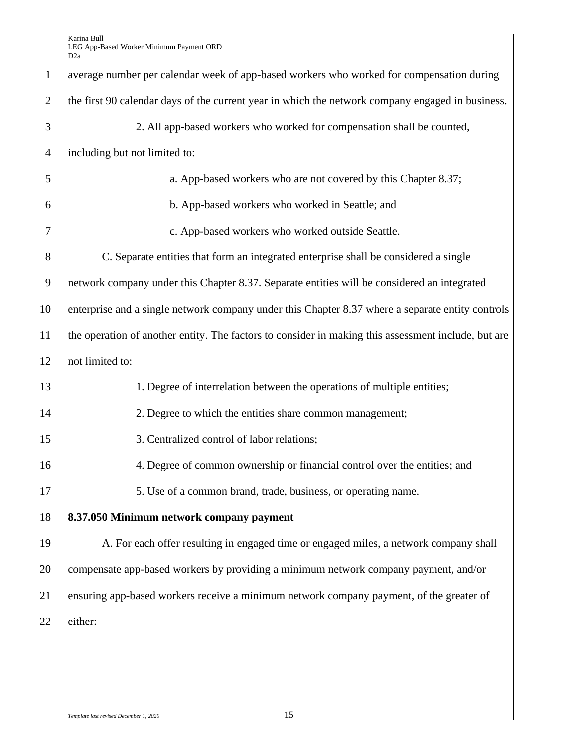| $\mathbf{1}$   | average number per calendar week of app-based workers who worked for compensation during            |
|----------------|-----------------------------------------------------------------------------------------------------|
| $\overline{2}$ | the first 90 calendar days of the current year in which the network company engaged in business.    |
| 3              | 2. All app-based workers who worked for compensation shall be counted,                              |
| $\overline{4}$ | including but not limited to:                                                                       |
| 5              | a. App-based workers who are not covered by this Chapter 8.37;                                      |
| 6              | b. App-based workers who worked in Seattle; and                                                     |
| 7              | c. App-based workers who worked outside Seattle.                                                    |
| 8              | C. Separate entities that form an integrated enterprise shall be considered a single                |
| 9              | network company under this Chapter 8.37. Separate entities will be considered an integrated         |
| 10             | enterprise and a single network company under this Chapter 8.37 where a separate entity controls    |
| 11             | the operation of another entity. The factors to consider in making this assessment include, but are |
| 12             | not limited to:                                                                                     |
| 13             | 1. Degree of interrelation between the operations of multiple entities;                             |
| 14             | 2. Degree to which the entities share common management;                                            |
| 15             | 3. Centralized control of labor relations;                                                          |
| 16             | 4. Degree of common ownership or financial control over the entities; and                           |
| 17             | 5. Use of a common brand, trade, business, or operating name.                                       |
| 18             | 8.37.050 Minimum network company payment                                                            |
| 19             | A. For each offer resulting in engaged time or engaged miles, a network company shall               |
| 20             | compensate app-based workers by providing a minimum network company payment, and/or                 |
| 21             | ensuring app-based workers receive a minimum network company payment, of the greater of             |
| 22             | either:                                                                                             |
|                |                                                                                                     |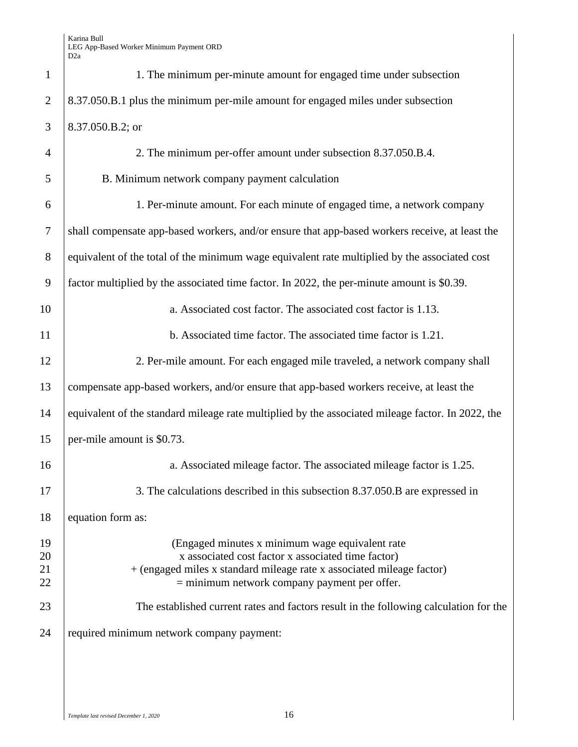| $\mathbf{1}$               | 1. The minimum per-minute amount for engaged time under subsection                                                                                                                                                                |
|----------------------------|-----------------------------------------------------------------------------------------------------------------------------------------------------------------------------------------------------------------------------------|
| $\overline{2}$             | 8.37.050.B.1 plus the minimum per-mile amount for engaged miles under subsection                                                                                                                                                  |
| 3                          | 8.37.050.B.2; or                                                                                                                                                                                                                  |
| $\overline{4}$             | 2. The minimum per-offer amount under subsection 8.37.050.B.4.                                                                                                                                                                    |
| 5                          | B. Minimum network company payment calculation                                                                                                                                                                                    |
| 6                          | 1. Per-minute amount. For each minute of engaged time, a network company                                                                                                                                                          |
| $\overline{7}$             | shall compensate app-based workers, and/or ensure that app-based workers receive, at least the                                                                                                                                    |
| 8                          | equivalent of the total of the minimum wage equivalent rate multiplied by the associated cost                                                                                                                                     |
| 9                          | factor multiplied by the associated time factor. In 2022, the per-minute amount is \$0.39.                                                                                                                                        |
| 10                         | a. Associated cost factor. The associated cost factor is 1.13.                                                                                                                                                                    |
| 11                         | b. Associated time factor. The associated time factor is 1.21.                                                                                                                                                                    |
| 12                         | 2. Per-mile amount. For each engaged mile traveled, a network company shall                                                                                                                                                       |
| 13                         | compensate app-based workers, and/or ensure that app-based workers receive, at least the                                                                                                                                          |
| 14                         | equivalent of the standard mileage rate multiplied by the associated mileage factor. In 2022, the                                                                                                                                 |
| 15                         | per-mile amount is \$0.73.                                                                                                                                                                                                        |
| 16                         | a. Associated mileage factor. The associated mileage factor is 1.25.                                                                                                                                                              |
| 17                         | 3. The calculations described in this subsection 8.37.050.B are expressed in                                                                                                                                                      |
| 18                         | equation form as:                                                                                                                                                                                                                 |
| 19<br>20<br>21<br>22<br>23 | (Engaged minutes x minimum wage equivalent rate)<br>x associated cost factor x associated time factor)<br>+ (engaged miles x standard mileage rate x associated mileage factor)<br>$=$ minimum network company payment per offer. |
| 24                         | The established current rates and factors result in the following calculation for the<br>required minimum network company payment:                                                                                                |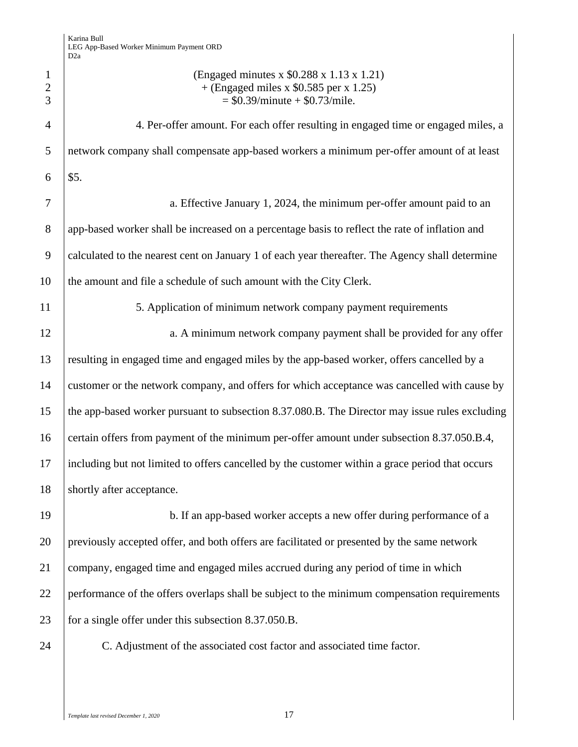| $\mathbf{1}$<br>$\overline{2}$<br>3 | (Engaged minutes x \$0.288 x 1.13 x 1.21)<br>$+$ (Engaged miles x \$0.585 per x 1.25)<br>$=$ \$0.39/minute + \$0.73/mile. |
|-------------------------------------|---------------------------------------------------------------------------------------------------------------------------|
| $\overline{4}$                      | 4. Per-offer amount. For each offer resulting in engaged time or engaged miles, a                                         |
| 5                                   | network company shall compensate app-based workers a minimum per-offer amount of at least                                 |
| 6                                   | \$5.                                                                                                                      |
| 7                                   | a. Effective January 1, 2024, the minimum per-offer amount paid to an                                                     |
| 8                                   | app-based worker shall be increased on a percentage basis to reflect the rate of inflation and                            |
| 9                                   | calculated to the nearest cent on January 1 of each year thereafter. The Agency shall determine                           |
| 10                                  | the amount and file a schedule of such amount with the City Clerk.                                                        |
| 11                                  | 5. Application of minimum network company payment requirements                                                            |
| 12                                  | a. A minimum network company payment shall be provided for any offer                                                      |
| 13                                  | resulting in engaged time and engaged miles by the app-based worker, offers cancelled by a                                |
| 14                                  | customer or the network company, and offers for which acceptance was cancelled with cause by                              |
| 15                                  | the app-based worker pursuant to subsection 8.37.080.B. The Director may issue rules excluding                            |
| 16                                  | certain offers from payment of the minimum per-offer amount under subsection 8.37.050.B.4,                                |
| 17                                  | including but not limited to offers cancelled by the customer within a grace period that occurs                           |
| 18                                  | shortly after acceptance.                                                                                                 |
| 19                                  | b. If an app-based worker accepts a new offer during performance of a                                                     |
| 20                                  | previously accepted offer, and both offers are facilitated or presented by the same network                               |
| 21                                  | company, engaged time and engaged miles accrued during any period of time in which                                        |
| 22                                  | performance of the offers overlaps shall be subject to the minimum compensation requirements                              |
| 23                                  | for a single offer under this subsection 8.37.050.B.                                                                      |
| 24                                  | C. Adjustment of the associated cost factor and associated time factor.                                                   |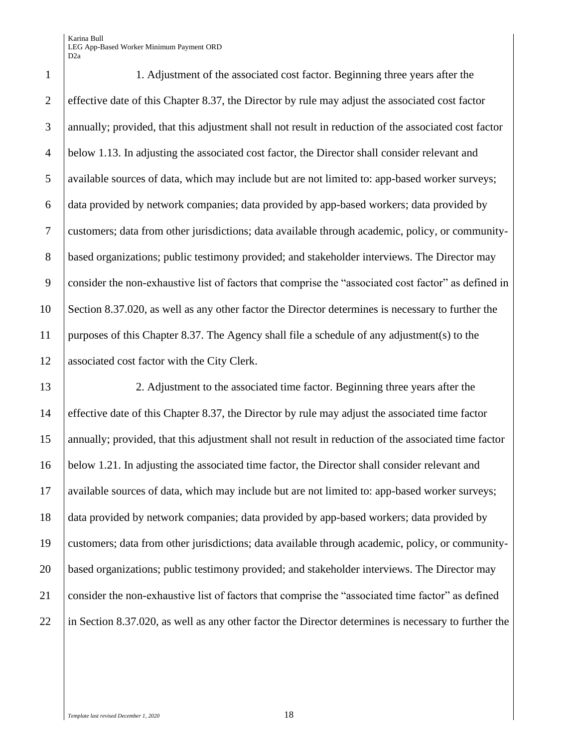1. Adjustment of the associated cost factor. Beginning three years after the effective date of this Chapter 8.37, the Director by rule may adjust the associated cost factor annually; provided, that this adjustment shall not result in reduction of the associated cost factor below 1.13. In adjusting the associated cost factor, the Director shall consider relevant and available sources of data, which may include but are not limited to: app-based worker surveys; data provided by network companies; data provided by app-based workers; data provided by customers; data from other jurisdictions; data available through academic, policy, or community-8 based organizations; public testimony provided; and stakeholder interviews. The Director may consider the non-exhaustive list of factors that comprise the "associated cost factor" as defined in Section 8.37.020, as well as any other factor the Director determines is necessary to further the purposes of this Chapter 8.37. The Agency shall file a schedule of any adjustment(s) to the associated cost factor with the City Clerk.

 2. Adjustment to the associated time factor. Beginning three years after the effective date of this Chapter 8.37, the Director by rule may adjust the associated time factor annually; provided, that this adjustment shall not result in reduction of the associated time factor below 1.21. In adjusting the associated time factor, the Director shall consider relevant and available sources of data, which may include but are not limited to: app-based worker surveys; data provided by network companies; data provided by app-based workers; data provided by customers; data from other jurisdictions; data available through academic, policy, or community- based organizations; public testimony provided; and stakeholder interviews. The Director may consider the non-exhaustive list of factors that comprise the "associated time factor" as defined 22 in Section 8.37.020, as well as any other factor the Director determines is necessary to further the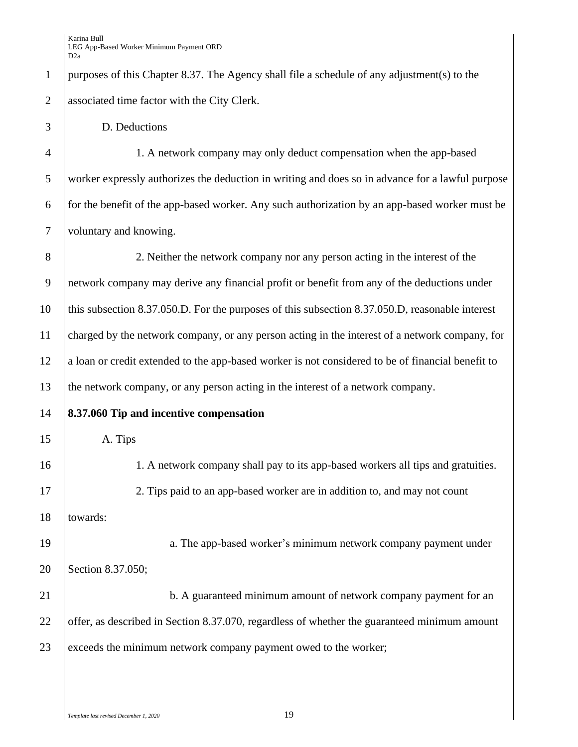purposes of this Chapter 8.37. The Agency shall file a schedule of any adjustment(s) to the associated time factor with the City Clerk.

D. Deductions

 1. A network company may only deduct compensation when the app-based worker expressly authorizes the deduction in writing and does so in advance for a lawful purpose for the benefit of the app-based worker. Any such authorization by an app-based worker must be voluntary and knowing.

 2. Neither the network company nor any person acting in the interest of the network company may derive any financial profit or benefit from any of the deductions under 10 | this subsection 8.37.050.D. For the purposes of this subsection 8.37.050.D, reasonable interest charged by the network company, or any person acting in the interest of a network company, for 12 a loan or credit extended to the app-based worker is not considered to be of financial benefit to the network company, or any person acting in the interest of a network company.

- **8.37.060 Tip and incentive compensation**
- A. Tips

 1. A network company shall pay to its app-based workers all tips and gratuities. 2. Tips paid to an app-based worker are in addition to, and may not count towards: 19 a. The app-based worker's minimum network company payment under Section 8.37.050; **b.** A guaranteed minimum amount of network company payment for an 22 offer, as described in Section 8.37.070, regardless of whether the guaranteed minimum amount

23 exceeds the minimum network company payment owed to the worker;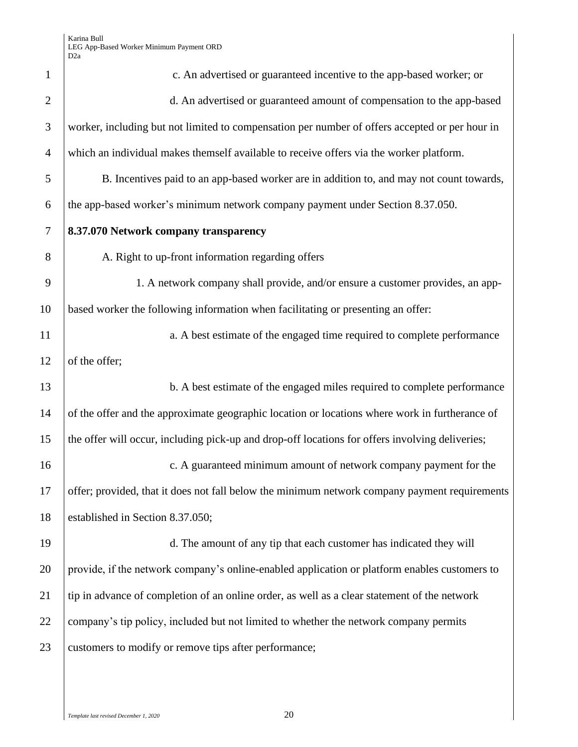| $\mathbf{1}$   | c. An advertised or guaranteed incentive to the app-based worker; or                            |
|----------------|-------------------------------------------------------------------------------------------------|
| $\overline{2}$ | d. An advertised or guaranteed amount of compensation to the app-based                          |
| 3              | worker, including but not limited to compensation per number of offers accepted or per hour in  |
| $\overline{4}$ | which an individual makes themself available to receive offers via the worker platform.         |
| 5              | B. Incentives paid to an app-based worker are in addition to, and may not count towards,        |
| 6              | the app-based worker's minimum network company payment under Section 8.37.050.                  |
| 7              | 8.37.070 Network company transparency                                                           |
| 8              | A. Right to up-front information regarding offers                                               |
| 9              | 1. A network company shall provide, and/or ensure a customer provides, an app-                  |
| 10             | based worker the following information when facilitating or presenting an offer:                |
| 11             | a. A best estimate of the engaged time required to complete performance                         |
| 12             | of the offer;                                                                                   |
| 13             | b. A best estimate of the engaged miles required to complete performance                        |
| 14             | of the offer and the approximate geographic location or locations where work in furtherance of  |
| 15             | the offer will occur, including pick-up and drop-off locations for offers involving deliveries; |
| 16             | c. A guaranteed minimum amount of network company payment for the                               |
| 17             | offer; provided, that it does not fall below the minimum network company payment requirements   |
| 18             | established in Section 8.37.050;                                                                |
| 19             | d. The amount of any tip that each customer has indicated they will                             |
| 20             | provide, if the network company's online-enabled application or platform enables customers to   |
| 21             | tip in advance of completion of an online order, as well as a clear statement of the network    |
| 22             | company's tip policy, included but not limited to whether the network company permits           |
| 23             | customers to modify or remove tips after performance;                                           |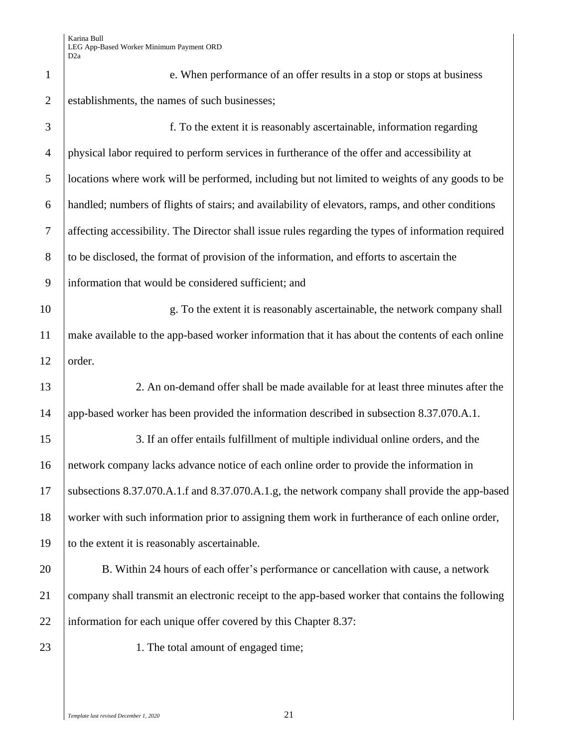| $\mathbf{1}$   | e. When performance of an offer results in a stop or stops at business                              |
|----------------|-----------------------------------------------------------------------------------------------------|
| $\overline{2}$ | establishments, the names of such businesses;                                                       |
| 3              | f. To the extent it is reasonably ascertainable, information regarding                              |
| $\overline{4}$ | physical labor required to perform services in furtherance of the offer and accessibility at        |
| 5              | locations where work will be performed, including but not limited to weights of any goods to be     |
| 6              | handled; numbers of flights of stairs; and availability of elevators, ramps, and other conditions   |
| 7              | affecting accessibility. The Director shall issue rules regarding the types of information required |
| $8\phantom{.}$ | to be disclosed, the format of provision of the information, and efforts to ascertain the           |
| 9              | information that would be considered sufficient; and                                                |
| 10             | g. To the extent it is reasonably ascertainable, the network company shall                          |
| 11             | make available to the app-based worker information that it has about the contents of each online    |
| 12             | order.                                                                                              |
| 13             | 2. An on-demand offer shall be made available for at least three minutes after the                  |
| 14             | app-based worker has been provided the information described in subsection 8.37.070.A.1.            |
| 15             | 3. If an offer entails fulfillment of multiple individual online orders, and the                    |
| 16             | network company lacks advance notice of each online order to provide the information in             |
| 17             | subsections 8.37.070.A.1.f and 8.37.070.A.1.g, the network company shall provide the app-based      |
| 18             | worker with such information prior to assigning them work in furtherance of each online order,      |
| 19             | to the extent it is reasonably ascertainable.                                                       |
| 20             | B. Within 24 hours of each offer's performance or cancellation with cause, a network                |
| 21             | company shall transmit an electronic receipt to the app-based worker that contains the following    |
| 22             | information for each unique offer covered by this Chapter 8.37:                                     |
| 23             | 1. The total amount of engaged time;                                                                |
|                |                                                                                                     |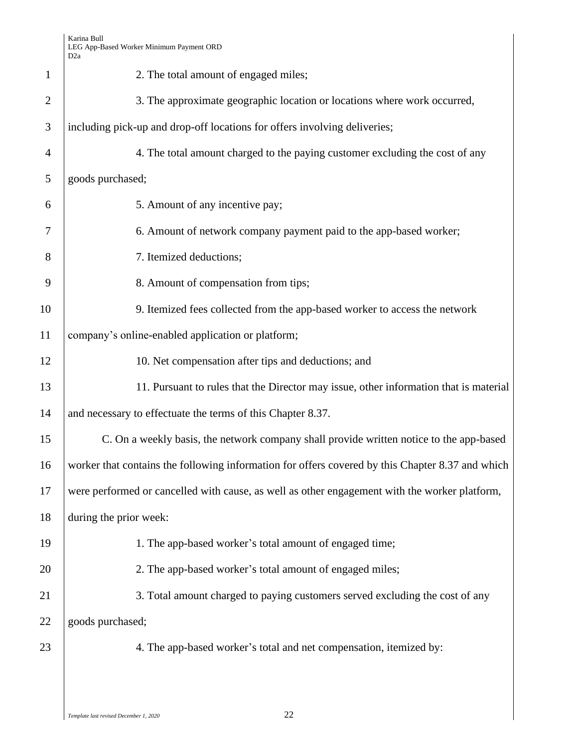| $\mathbf{1}$   | 2. The total amount of engaged miles;                                                            |
|----------------|--------------------------------------------------------------------------------------------------|
| $\overline{2}$ | 3. The approximate geographic location or locations where work occurred,                         |
| 3              | including pick-up and drop-off locations for offers involving deliveries;                        |
| $\overline{4}$ | 4. The total amount charged to the paying customer excluding the cost of any                     |
| 5              | goods purchased;                                                                                 |
| 6              | 5. Amount of any incentive pay;                                                                  |
| 7              | 6. Amount of network company payment paid to the app-based worker;                               |
| 8              | 7. Itemized deductions;                                                                          |
| 9              | 8. Amount of compensation from tips;                                                             |
| 10             | 9. Itemized fees collected from the app-based worker to access the network                       |
| 11             | company's online-enabled application or platform;                                                |
| 12             | 10. Net compensation after tips and deductions; and                                              |
| 13             | 11. Pursuant to rules that the Director may issue, other information that is material            |
| 14             | and necessary to effectuate the terms of this Chapter 8.37.                                      |
| 15             | C. On a weekly basis, the network company shall provide written notice to the app-based          |
| 16             | worker that contains the following information for offers covered by this Chapter 8.37 and which |
| 17             | were performed or cancelled with cause, as well as other engagement with the worker platform,    |
| 18             | during the prior week:                                                                           |
| 19             | 1. The app-based worker's total amount of engaged time;                                          |
| 20             | 2. The app-based worker's total amount of engaged miles;                                         |
| 21             | 3. Total amount charged to paying customers served excluding the cost of any                     |
| 22             | goods purchased;                                                                                 |
| 23             | 4. The app-based worker's total and net compensation, itemized by:                               |
|                |                                                                                                  |
|                |                                                                                                  |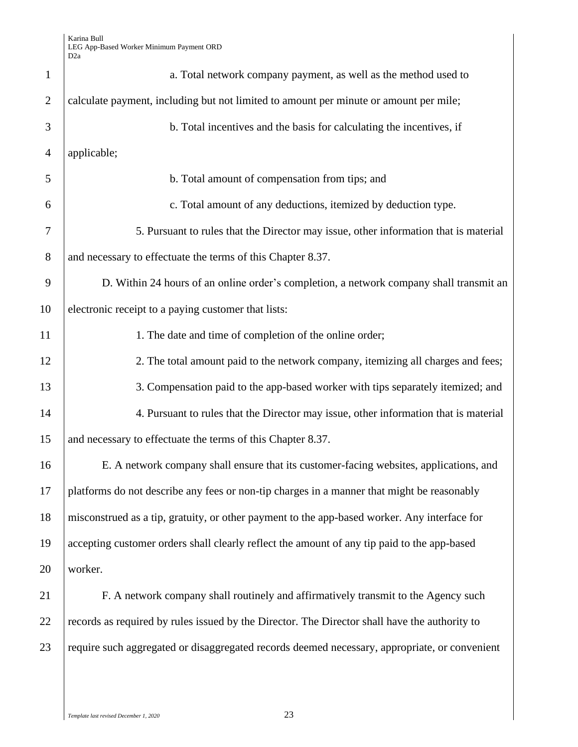| $\mathbf{1}$   | a. Total network company payment, as well as the method used to                               |
|----------------|-----------------------------------------------------------------------------------------------|
| $\overline{2}$ | calculate payment, including but not limited to amount per minute or amount per mile;         |
| 3              | b. Total incentives and the basis for calculating the incentives, if                          |
| $\overline{4}$ | applicable;                                                                                   |
| 5              | b. Total amount of compensation from tips; and                                                |
| 6              | c. Total amount of any deductions, itemized by deduction type.                                |
| 7              | 5. Pursuant to rules that the Director may issue, other information that is material          |
| 8              | and necessary to effectuate the terms of this Chapter 8.37.                                   |
| 9              | D. Within 24 hours of an online order's completion, a network company shall transmit an       |
| 10             | electronic receipt to a paying customer that lists:                                           |
| 11             | 1. The date and time of completion of the online order;                                       |
| 12             | 2. The total amount paid to the network company, itemizing all charges and fees;              |
| 13             | 3. Compensation paid to the app-based worker with tips separately itemized; and               |
| 14             | 4. Pursuant to rules that the Director may issue, other information that is material          |
| 15             | and necessary to effectuate the terms of this Chapter 8.37.                                   |
| 16             | E. A network company shall ensure that its customer-facing websites, applications, and        |
| 17             | platforms do not describe any fees or non-tip charges in a manner that might be reasonably    |
| 18             | misconstrued as a tip, gratuity, or other payment to the app-based worker. Any interface for  |
| 19             | accepting customer orders shall clearly reflect the amount of any tip paid to the app-based   |
| 20             | worker.                                                                                       |
| 21             | F. A network company shall routinely and affirmatively transmit to the Agency such            |
| 22             | records as required by rules issued by the Director. The Director shall have the authority to |
| 23             | require such aggregated or disaggregated records deemed necessary, appropriate, or convenient |
|                |                                                                                               |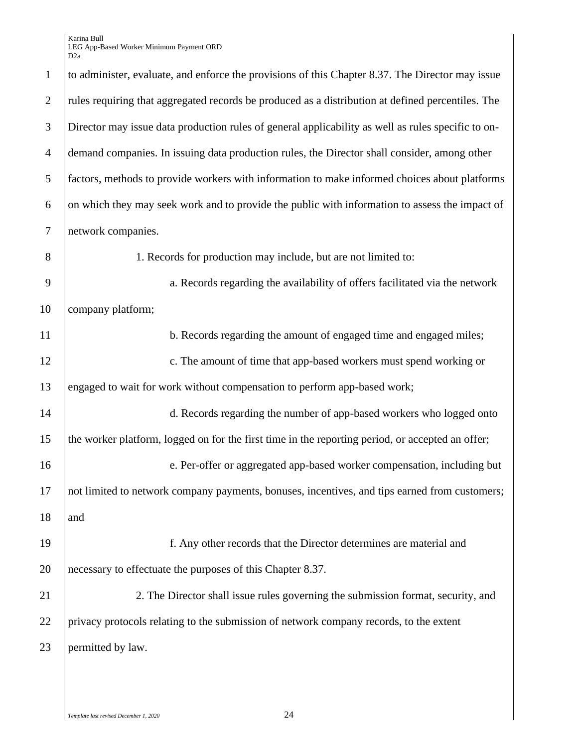| $\mathbf{1}$   | to administer, evaluate, and enforce the provisions of this Chapter 8.37. The Director may issue   |
|----------------|----------------------------------------------------------------------------------------------------|
| $\overline{2}$ | rules requiring that aggregated records be produced as a distribution at defined percentiles. The  |
| 3              | Director may issue data production rules of general applicability as well as rules specific to on- |
| $\overline{4}$ | demand companies. In issuing data production rules, the Director shall consider, among other       |
| 5              | factors, methods to provide workers with information to make informed choices about platforms      |
| 6              | on which they may seek work and to provide the public with information to assess the impact of     |
| 7              | network companies.                                                                                 |
| 8              | 1. Records for production may include, but are not limited to:                                     |
| 9              | a. Records regarding the availability of offers facilitated via the network                        |
| 10             | company platform;                                                                                  |
| 11             | b. Records regarding the amount of engaged time and engaged miles;                                 |
| 12             | c. The amount of time that app-based workers must spend working or                                 |
| 13             | engaged to wait for work without compensation to perform app-based work;                           |
| 14             | d. Records regarding the number of app-based workers who logged onto                               |
| 15             | the worker platform, logged on for the first time in the reporting period, or accepted an offer;   |
| 16             | e. Per-offer or aggregated app-based worker compensation, including but                            |
| 17             | not limited to network company payments, bonuses, incentives, and tips earned from customers;      |
| 18             | and                                                                                                |
| 19             | f. Any other records that the Director determines are material and                                 |
| 20             | necessary to effectuate the purposes of this Chapter 8.37.                                         |
| 21             | 2. The Director shall issue rules governing the submission format, security, and                   |
| 22             | privacy protocols relating to the submission of network company records, to the extent             |
| 23             | permitted by law.                                                                                  |
|                |                                                                                                    |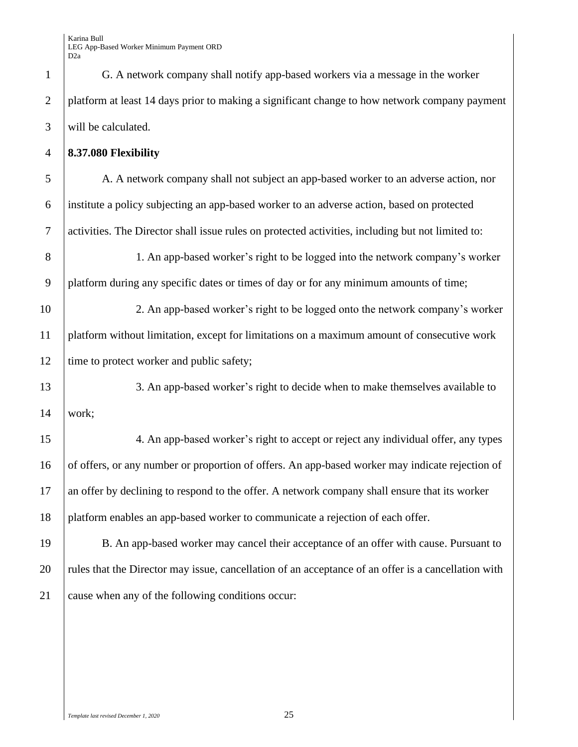G. A network company shall notify app-based workers via a message in the worker platform at least 14 days prior to making a significant change to how network company payment will be calculated.

### **8.37.080 Flexibility**

 A. A network company shall not subject an app-based worker to an adverse action, nor institute a policy subjecting an app-based worker to an adverse action, based on protected activities. The Director shall issue rules on protected activities, including but not limited to:

 1. An app-based worker's right to be logged into the network company's worker platform during any specific dates or times of day or for any minimum amounts of time;

 2. An app-based worker's right to be logged onto the network company's worker platform without limitation, except for limitations on a maximum amount of consecutive work 12 time to protect worker and public safety;

13 3. An app-based worker's right to decide when to make themselves available to work;

 4. An app-based worker's right to accept or reject any individual offer, any types of offers, or any number or proportion of offers. An app-based worker may indicate rejection of an offer by declining to respond to the offer. A network company shall ensure that its worker platform enables an app-based worker to communicate a rejection of each offer.

 B. An app-based worker may cancel their acceptance of an offer with cause. Pursuant to 20 rules that the Director may issue, cancellation of an acceptance of an offer is a cancellation with cause when any of the following conditions occur: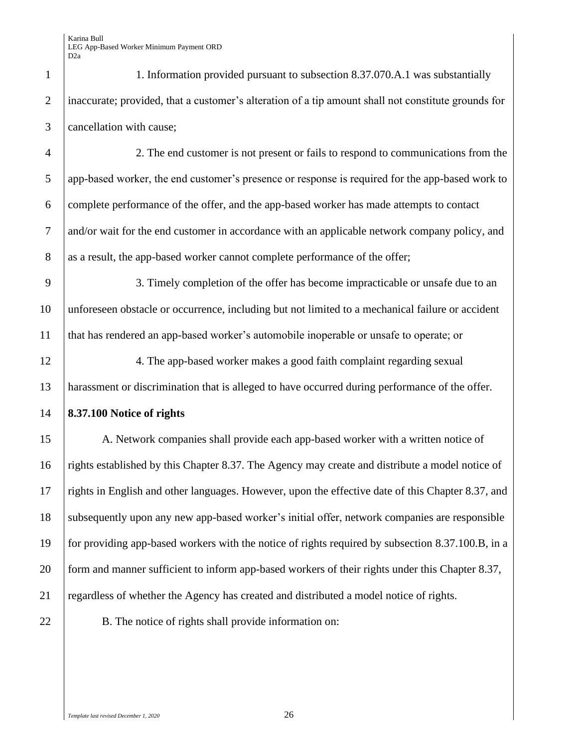| $\mathbf{1}$   | 1. Information provided pursuant to subsection 8.37.070.A.1 was substantially                       |
|----------------|-----------------------------------------------------------------------------------------------------|
| $\overline{2}$ | inaccurate; provided, that a customer's alteration of a tip amount shall not constitute grounds for |
| 3              | cancellation with cause;                                                                            |
| $\overline{4}$ | 2. The end customer is not present or fails to respond to communications from the                   |
| 5              | app-based worker, the end customer's presence or response is required for the app-based work to     |
| 6              | complete performance of the offer, and the app-based worker has made attempts to contact            |
| $\overline{7}$ | and/or wait for the end customer in accordance with an applicable network company policy, and       |
| 8              | as a result, the app-based worker cannot complete performance of the offer;                         |
| 9              | 3. Timely completion of the offer has become impracticable or unsafe due to an                      |
| 10             | unforeseen obstacle or occurrence, including but not limited to a mechanical failure or accident    |
| 11             | that has rendered an app-based worker's automobile inoperable or unsafe to operate; or              |
| 12             | 4. The app-based worker makes a good faith complaint regarding sexual                               |
| 13             | harassment or discrimination that is alleged to have occurred during performance of the offer.      |
| 14             | 8.37.100 Notice of rights                                                                           |
| 15             | A. Network companies shall provide each app-based worker with a written notice of                   |
| 16             | rights established by this Chapter 8.37. The Agency may create and distribute a model notice of     |
| 17             | rights in English and other languages. However, upon the effective date of this Chapter 8.37, and   |
| 18             | subsequently upon any new app-based worker's initial offer, network companies are responsible       |
| 19             | for providing app-based workers with the notice of rights required by subsection 8.37.100.B, in a   |
| 20             | form and manner sufficient to inform app-based workers of their rights under this Chapter 8.37,     |
| 21             | regardless of whether the Agency has created and distributed a model notice of rights.              |
|                |                                                                                                     |

22 B. The notice of rights shall provide information on: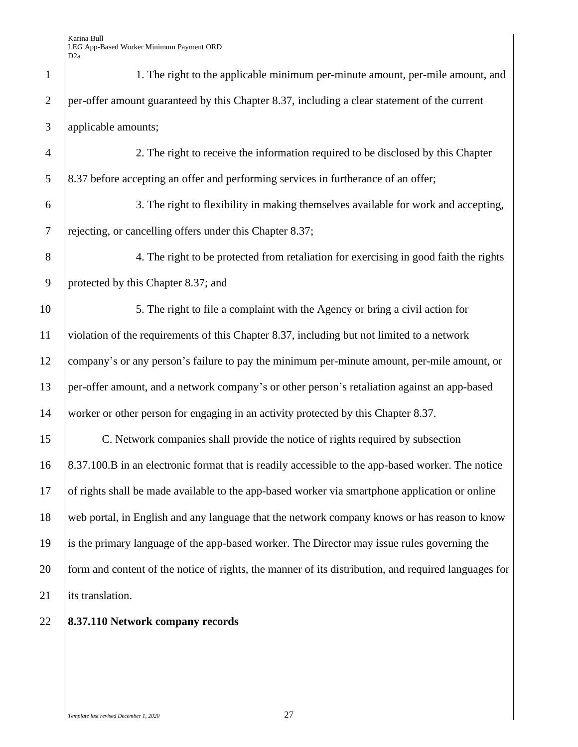| $\mathbf{1}$   | 1. The right to the applicable minimum per-minute amount, per-mile amount, and                       |
|----------------|------------------------------------------------------------------------------------------------------|
| $\overline{2}$ | per-offer amount guaranteed by this Chapter 8.37, including a clear statement of the current         |
| 3              | applicable amounts;                                                                                  |
| $\overline{4}$ | 2. The right to receive the information required to be disclosed by this Chapter                     |
| 5              | 8.37 before accepting an offer and performing services in furtherance of an offer;                   |
| 6              | 3. The right to flexibility in making themselves available for work and accepting,                   |
| $\overline{7}$ | rejecting, or cancelling offers under this Chapter 8.37;                                             |
| 8              | 4. The right to be protected from retaliation for exercising in good faith the rights                |
| 9              | protected by this Chapter 8.37; and                                                                  |
| 10             | 5. The right to file a complaint with the Agency or bring a civil action for                         |
| 11             | violation of the requirements of this Chapter 8.37, including but not limited to a network           |
| 12             | company's or any person's failure to pay the minimum per-minute amount, per-mile amount, or          |
| 13             | per-offer amount, and a network company's or other person's retaliation against an app-based         |
| 14             | worker or other person for engaging in an activity protected by this Chapter 8.37.                   |
| 15             | C. Network companies shall provide the notice of rights required by subsection                       |
| 16             | 8.37.100.B in an electronic format that is readily accessible to the app-based worker. The notice    |
| 17             | of rights shall be made available to the app-based worker via smartphone application or online       |
| 18             | web portal, in English and any language that the network company knows or has reason to know         |
| 19             | is the primary language of the app-based worker. The Director may issue rules governing the          |
| 20             | form and content of the notice of rights, the manner of its distribution, and required languages for |
| 21             | its translation.                                                                                     |
|                |                                                                                                      |

**8.37.110 Network company records**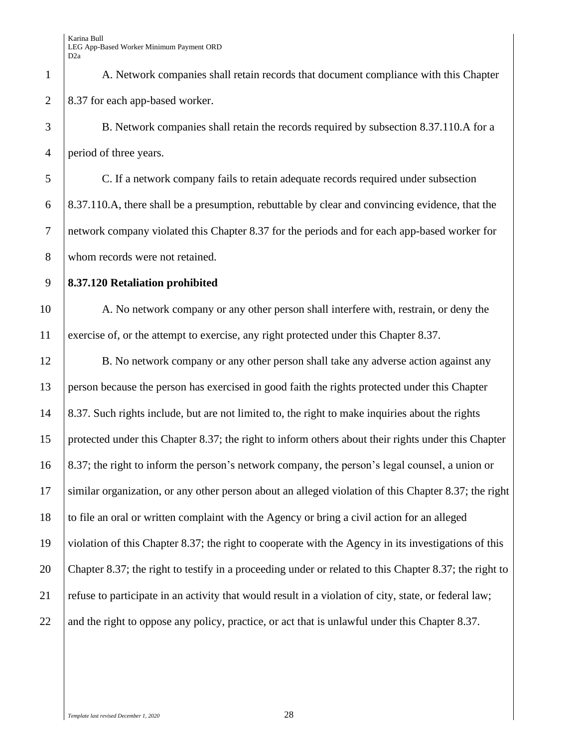A. Network companies shall retain records that document compliance with this Chapter 2 8.37 for each app-based worker.

 B. Network companies shall retain the records required by subsection 8.37.110.A for a period of three years.

 C. If a network company fails to retain adequate records required under subsection 8.37.110.A, there shall be a presumption, rebuttable by clear and convincing evidence, that the network company violated this Chapter 8.37 for the periods and for each app-based worker for 8 whom records were not retained.

## **8.37.120 Retaliation prohibited**

10 A. No network company or any other person shall interfere with, restrain, or deny the exercise of, or the attempt to exercise, any right protected under this Chapter 8.37.

12 B. No network company or any other person shall take any adverse action against any person because the person has exercised in good faith the rights protected under this Chapter 14 8.37. Such rights include, but are not limited to, the right to make inquiries about the rights protected under this Chapter 8.37; the right to inform others about their rights under this Chapter 8.37; the right to inform the person's network company, the person's legal counsel, a union or similar organization, or any other person about an alleged violation of this Chapter 8.37; the right to file an oral or written complaint with the Agency or bring a civil action for an alleged violation of this Chapter 8.37; the right to cooperate with the Agency in its investigations of this Chapter 8.37; the right to testify in a proceeding under or related to this Chapter 8.37; the right to refuse to participate in an activity that would result in a violation of city, state, or federal law; 22 and the right to oppose any policy, practice, or act that is unlawful under this Chapter 8.37.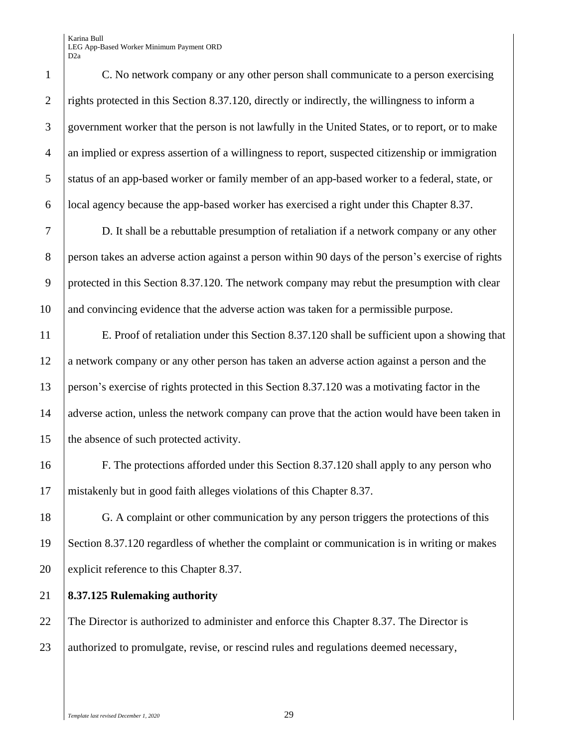C. No network company or any other person shall communicate to a person exercising 2 rights protected in this Section 8.37.120, directly or indirectly, the willingness to inform a government worker that the person is not lawfully in the United States, or to report, or to make an implied or express assertion of a willingness to report, suspected citizenship or immigration 5 status of an app-based worker or family member of an app-based worker to a federal, state, or **local agency because the app-based worker has exercised a right under this Chapter 8.37.** 

7 D. It shall be a rebuttable presumption of retaliation if a network company or any other 8 person takes an adverse action against a person within 90 days of the person's exercise of rights 9 protected in this Section 8.37.120. The network company may rebut the presumption with clear 10 and convincing evidence that the adverse action was taken for a permissible purpose.

11 E. Proof of retaliation under this Section 8.37.120 shall be sufficient upon a showing that 12 a network company or any other person has taken an adverse action against a person and the 13 person's exercise of rights protected in this Section 8.37.120 was a motivating factor in the 14 adverse action, unless the network company can prove that the action would have been taken in 15 the absence of such protected activity.

16 F. The protections afforded under this Section 8.37.120 shall apply to any person who 17 mistakenly but in good faith alleges violations of this Chapter 8.37.

18 G. A complaint or other communication by any person triggers the protections of this 19 Section 8.37.120 regardless of whether the complaint or communication is in writing or makes 20 explicit reference to this Chapter 8.37.

21 **8.37.125 Rulemaking authority**

22 The Director is authorized to administer and enforce this Chapter 8.37. The Director is 23 authorized to promulgate, revise, or rescind rules and regulations deemed necessary,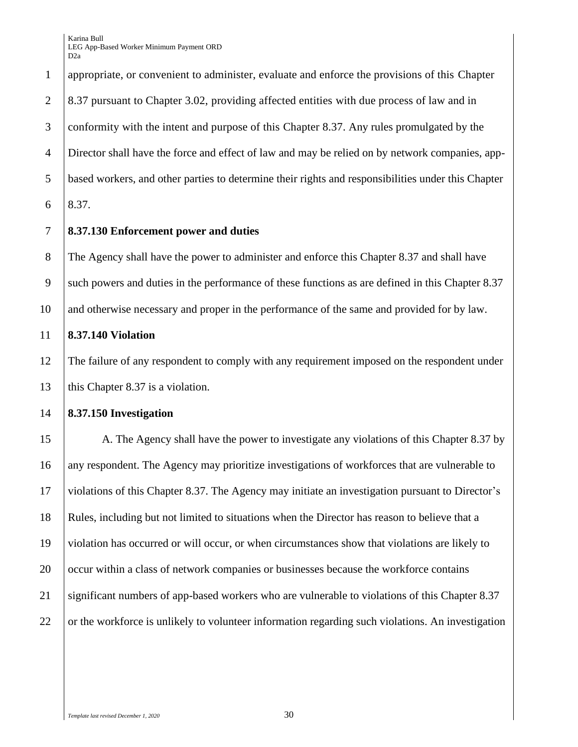appropriate, or convenient to administer, evaluate and enforce the provisions of this Chapter 8.37 pursuant to Chapter 3.02, providing affected entities with due process of law and in conformity with the intent and purpose of this Chapter 8.37. Any rules promulgated by the Director shall have the force and effect of law and may be relied on by network companies, app- based workers, and other parties to determine their rights and responsibilities under this Chapter 6 | 8.37.

#### **8.37.130 Enforcement power and duties**

 The Agency shall have the power to administer and enforce this Chapter 8.37 and shall have 9 such powers and duties in the performance of these functions as are defined in this Chapter 8.37 and otherwise necessary and proper in the performance of the same and provided for by law.

#### **8.37.140 Violation**

12 The failure of any respondent to comply with any requirement imposed on the respondent under 13 | this Chapter 8.37 is a violation.

#### **8.37.150 Investigation**

15 A. The Agency shall have the power to investigate any violations of this Chapter 8.37 by any respondent. The Agency may prioritize investigations of workforces that are vulnerable to violations of this Chapter 8.37. The Agency may initiate an investigation pursuant to Director's Rules, including but not limited to situations when the Director has reason to believe that a violation has occurred or will occur, or when circumstances show that violations are likely to 20 \ occur within a class of network companies or businesses because the workforce contains significant numbers of app-based workers who are vulnerable to violations of this Chapter 8.37 or the workforce is unlikely to volunteer information regarding such violations. An investigation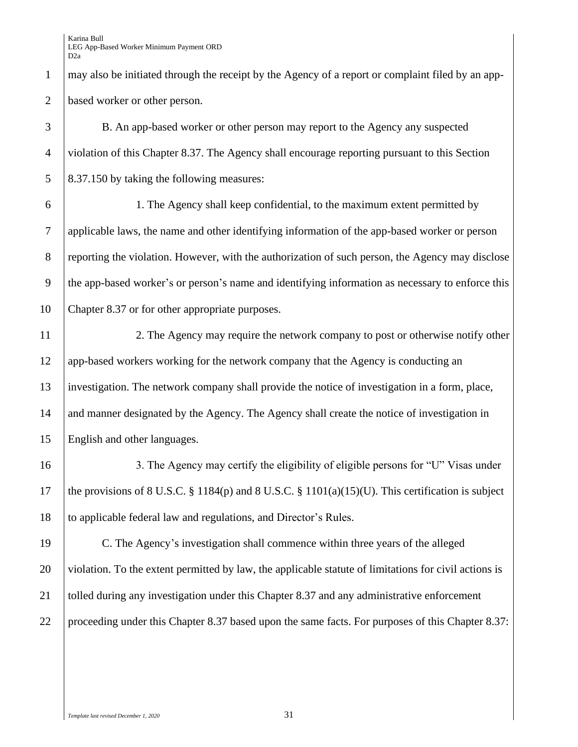may also be initiated through the receipt by the Agency of a report or complaint filed by an app-based worker or other person.

 B. An app-based worker or other person may report to the Agency any suspected violation of this Chapter 8.37. The Agency shall encourage reporting pursuant to this Section 5 8.37.150 by taking the following measures:

 1. The Agency shall keep confidential, to the maximum extent permitted by applicable laws, the name and other identifying information of the app-based worker or person 8 reporting the violation. However, with the authorization of such person, the Agency may disclose the app-based worker's or person's name and identifying information as necessary to enforce this Chapter 8.37 or for other appropriate purposes.

 2. The Agency may require the network company to post or otherwise notify other app-based workers working for the network company that the Agency is conducting an investigation. The network company shall provide the notice of investigation in a form, place, 14 and manner designated by the Agency. The Agency shall create the notice of investigation in English and other languages.

16 16 3. The Agency may certify the eligibility of eligible persons for "U" Visas under 17 the provisions of 8 U.S.C. § 1184(p) and 8 U.S.C. § 1101(a)(15)(U). This certification is subject to applicable federal law and regulations, and Director's Rules.

 C. The Agency's investigation shall commence within three years of the alleged violation. To the extent permitted by law, the applicable statute of limitations for civil actions is tolled during any investigation under this Chapter 8.37 and any administrative enforcement 22 proceeding under this Chapter 8.37 based upon the same facts. For purposes of this Chapter 8.37: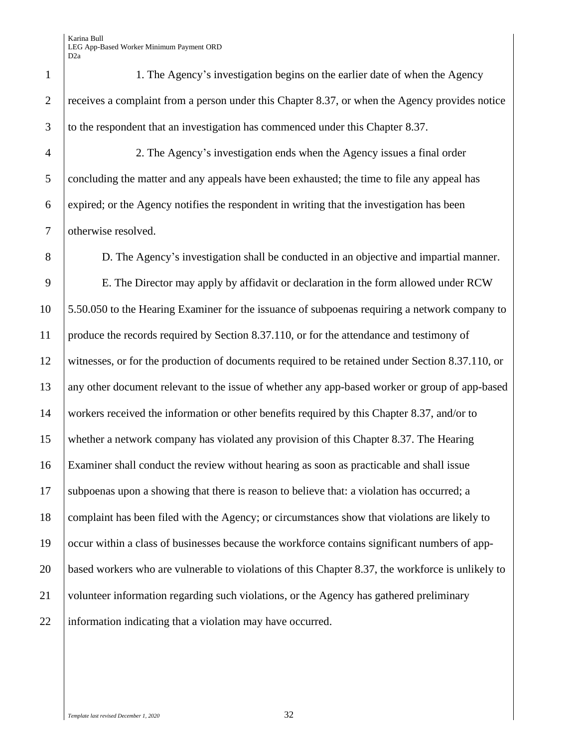1. The Agency's investigation begins on the earlier date of when the Agency 2 receives a complaint from a person under this Chapter 8.37, or when the Agency provides notice to the respondent that an investigation has commenced under this Chapter 8.37.

 2. The Agency's investigation ends when the Agency issues a final order 5 concluding the matter and any appeals have been exhausted; the time to file any appeal has expired; or the Agency notifies the respondent in writing that the investigation has been otherwise resolved.

 D. The Agency's investigation shall be conducted in an objective and impartial manner. E. The Director may apply by affidavit or declaration in the form allowed under RCW 5.50.050 to the Hearing Examiner for the issuance of subpoenas requiring a network company to produce the records required by Section 8.37.110, or for the attendance and testimony of witnesses, or for the production of documents required to be retained under Section 8.37.110, or any other document relevant to the issue of whether any app-based worker or group of app-based workers received the information or other benefits required by this Chapter 8.37, and/or to whether a network company has violated any provision of this Chapter 8.37. The Hearing Examiner shall conduct the review without hearing as soon as practicable and shall issue subpoenas upon a showing that there is reason to believe that: a violation has occurred; a complaint has been filed with the Agency; or circumstances show that violations are likely to occur within a class of businesses because the workforce contains significant numbers of app- based workers who are vulnerable to violations of this Chapter 8.37, the workforce is unlikely to volunteer information regarding such violations, or the Agency has gathered preliminary 22 information indicating that a violation may have occurred.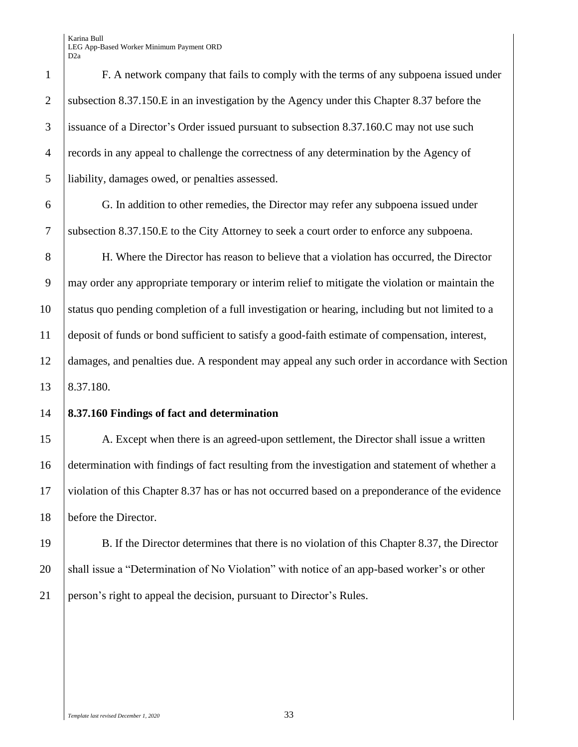F. A network company that fails to comply with the terms of any subpoena issued under 2 Subsection 8.37.150.E in an investigation by the Agency under this Chapter 8.37 before the issuance of a Director's Order issued pursuant to subsection 8.37.160.C may not use such records in any appeal to challenge the correctness of any determination by the Agency of liability, damages owed, or penalties assessed.

 G. In addition to other remedies, the Director may refer any subpoena issued under subsection 8.37.150.E to the City Attorney to seek a court order to enforce any subpoena.

 H. Where the Director has reason to believe that a violation has occurred, the Director may order any appropriate temporary or interim relief to mitigate the violation or maintain the status quo pending completion of a full investigation or hearing, including but not limited to a deposit of funds or bond sufficient to satisfy a good-faith estimate of compensation, interest, damages, and penalties due. A respondent may appeal any such order in accordance with Section 8.37.180.

#### **8.37.160 Findings of fact and determination**

15 A. Except when there is an agreed-upon settlement, the Director shall issue a written determination with findings of fact resulting from the investigation and statement of whether a violation of this Chapter 8.37 has or has not occurred based on a preponderance of the evidence 18 before the Director.

 B. If the Director determines that there is no violation of this Chapter 8.37, the Director 20 Shall issue a "Determination of No Violation" with notice of an app-based worker's or other person's right to appeal the decision, pursuant to Director's Rules.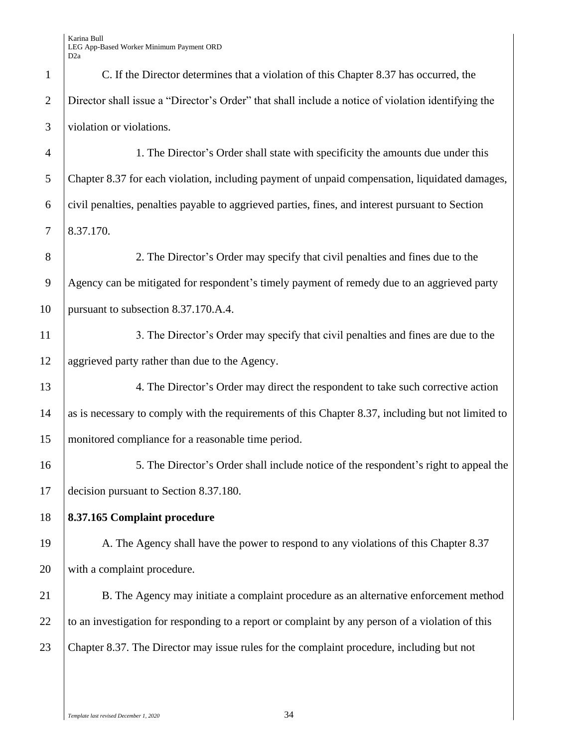| $\mathbf{1}$   | C. If the Director determines that a violation of this Chapter 8.37 has occurred, the              |
|----------------|----------------------------------------------------------------------------------------------------|
| $\overline{2}$ | Director shall issue a "Director's Order" that shall include a notice of violation identifying the |
| 3              | violation or violations.                                                                           |
| $\overline{4}$ | 1. The Director's Order shall state with specificity the amounts due under this                    |
| 5              | Chapter 8.37 for each violation, including payment of unpaid compensation, liquidated damages,     |
| 6              | civil penalties, penalties payable to aggrieved parties, fines, and interest pursuant to Section   |
| 7              | 8.37.170.                                                                                          |
| 8              | 2. The Director's Order may specify that civil penalties and fines due to the                      |
| 9              | Agency can be mitigated for respondent's timely payment of remedy due to an aggrieved party        |
| 10             | pursuant to subsection 8.37.170.A.4.                                                               |
| 11             | 3. The Director's Order may specify that civil penalties and fines are due to the                  |
| 12             | aggrieved party rather than due to the Agency.                                                     |
| 13             | 4. The Director's Order may direct the respondent to take such corrective action                   |
| 14             | as is necessary to comply with the requirements of this Chapter 8.37, including but not limited to |
| 15             | monitored compliance for a reasonable time period.                                                 |
| 16             | 5. The Director's Order shall include notice of the respondent's right to appeal the               |
| 17             | decision pursuant to Section 8.37.180.                                                             |
| 18             | 8.37.165 Complaint procedure                                                                       |
| 19             | A. The Agency shall have the power to respond to any violations of this Chapter 8.37               |
| 20             | with a complaint procedure.                                                                        |
| 21             | B. The Agency may initiate a complaint procedure as an alternative enforcement method              |
| 22             | to an investigation for responding to a report or complaint by any person of a violation of this   |
| 23             | Chapter 8.37. The Director may issue rules for the complaint procedure, including but not          |
|                |                                                                                                    |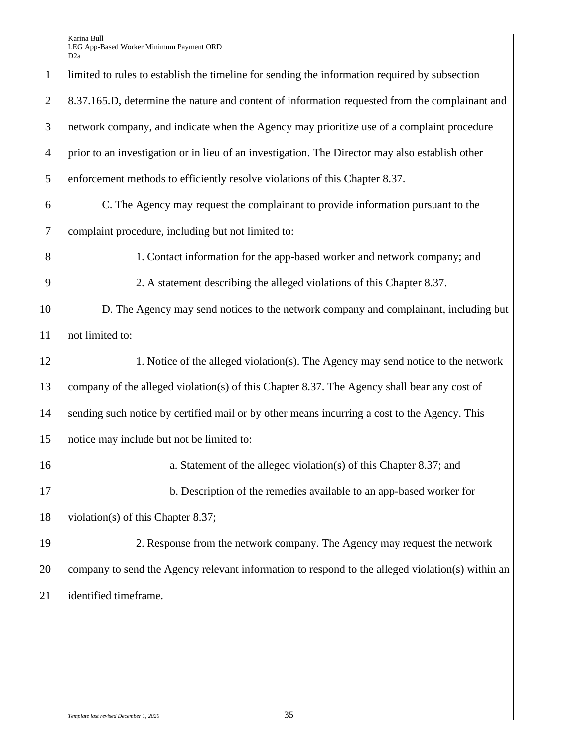| $\mathbf{1}$   | limited to rules to establish the timeline for sending the information required by subsection    |
|----------------|--------------------------------------------------------------------------------------------------|
| $\overline{2}$ | 8.37.165.D, determine the nature and content of information requested from the complainant and   |
| 3              | network company, and indicate when the Agency may prioritize use of a complaint procedure        |
| $\overline{4}$ | prior to an investigation or in lieu of an investigation. The Director may also establish other  |
| 5              | enforcement methods to efficiently resolve violations of this Chapter 8.37.                      |
| 6              | C. The Agency may request the complainant to provide information pursuant to the                 |
| $\overline{7}$ | complaint procedure, including but not limited to:                                               |
| 8              | 1. Contact information for the app-based worker and network company; and                         |
| 9              | 2. A statement describing the alleged violations of this Chapter 8.37.                           |
| 10             | D. The Agency may send notices to the network company and complainant, including but             |
| 11             | not limited to:                                                                                  |
| 12             | 1. Notice of the alleged violation(s). The Agency may send notice to the network                 |
| 13             | company of the alleged violation(s) of this Chapter 8.37. The Agency shall bear any cost of      |
| 14             | sending such notice by certified mail or by other means incurring a cost to the Agency. This     |
| 15             | notice may include but not be limited to:                                                        |
| 16             | a. Statement of the alleged violation(s) of this Chapter 8.37; and                               |
| 17             | b. Description of the remedies available to an app-based worker for                              |
| 18             | violation(s) of this Chapter 8.37;                                                               |
| 19             | 2. Response from the network company. The Agency may request the network                         |
| 20             | company to send the Agency relevant information to respond to the alleged violation(s) within an |
| 21             | identified timeframe.                                                                            |
|                |                                                                                                  |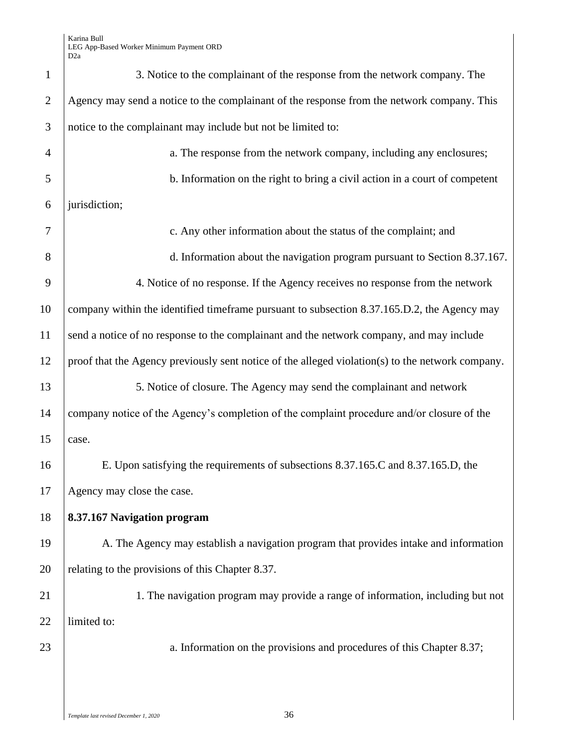| $\mathbf{1}$   | 3. Notice to the complainant of the response from the network company. The                       |
|----------------|--------------------------------------------------------------------------------------------------|
| $\overline{2}$ | Agency may send a notice to the complainant of the response from the network company. This       |
| 3              | notice to the complainant may include but not be limited to:                                     |
| $\overline{4}$ | a. The response from the network company, including any enclosures;                              |
| 5              | b. Information on the right to bring a civil action in a court of competent                      |
| 6              | jurisdiction;                                                                                    |
| 7              | c. Any other information about the status of the complaint; and                                  |
| 8              | d. Information about the navigation program pursuant to Section 8.37.167.                        |
| 9              | 4. Notice of no response. If the Agency receives no response from the network                    |
| 10             | company within the identified timeframe pursuant to subsection 8.37.165.D.2, the Agency may      |
| 11             | send a notice of no response to the complainant and the network company, and may include         |
| 12             | proof that the Agency previously sent notice of the alleged violation(s) to the network company. |
| 13             | 5. Notice of closure. The Agency may send the complainant and network                            |
| 14             | company notice of the Agency's completion of the complaint procedure and/or closure of the       |
| 15             | case.                                                                                            |
| 16             | E. Upon satisfying the requirements of subsections 8.37.165.C and 8.37.165.D, the                |
| 17             | Agency may close the case.                                                                       |
| 18             | 8.37.167 Navigation program                                                                      |
| 19             | A. The Agency may establish a navigation program that provides intake and information            |
| 20             | relating to the provisions of this Chapter 8.37.                                                 |
| 21             | 1. The navigation program may provide a range of information, including but not                  |
| 22             | limited to:                                                                                      |
| 23             | a. Information on the provisions and procedures of this Chapter 8.37;                            |
|                |                                                                                                  |
|                |                                                                                                  |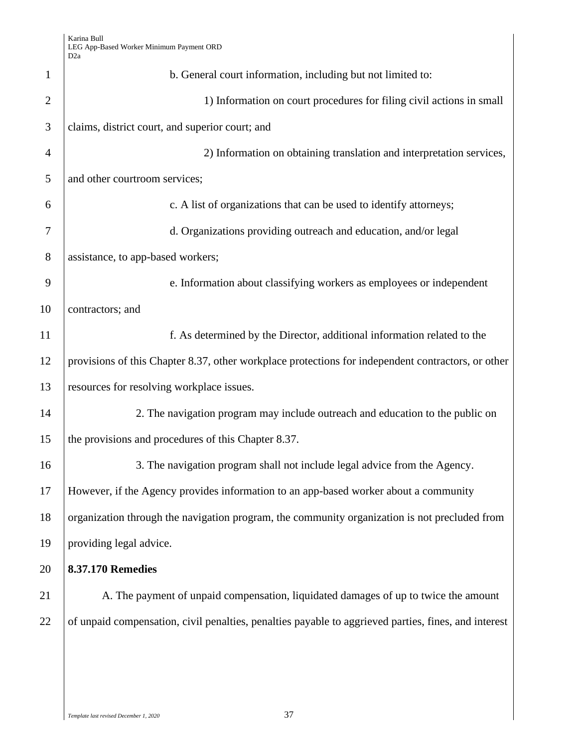| $\mathbf{1}$   | b. General court information, including but not limited to:                                          |
|----------------|------------------------------------------------------------------------------------------------------|
| $\overline{2}$ | 1) Information on court procedures for filing civil actions in small                                 |
| 3              | claims, district court, and superior court; and                                                      |
| $\overline{4}$ | 2) Information on obtaining translation and interpretation services,                                 |
| 5              | and other courtroom services;                                                                        |
| 6              | c. A list of organizations that can be used to identify attorneys;                                   |
| 7              | d. Organizations providing outreach and education, and/or legal                                      |
| 8              | assistance, to app-based workers;                                                                    |
| 9              | e. Information about classifying workers as employees or independent                                 |
| 10             | contractors; and                                                                                     |
| 11             | f. As determined by the Director, additional information related to the                              |
| 12             | provisions of this Chapter 8.37, other workplace protections for independent contractors, or other   |
| 13             | resources for resolving workplace issues.                                                            |
| 14             | 2. The navigation program may include outreach and education to the public on                        |
| 15             | the provisions and procedures of this Chapter 8.37.                                                  |
| 16             | 3. The navigation program shall not include legal advice from the Agency.                            |
| 17             | However, if the Agency provides information to an app-based worker about a community                 |
| 18             | organization through the navigation program, the community organization is not precluded from        |
| 19             | providing legal advice.                                                                              |
| 20             | <b>8.37.170 Remedies</b>                                                                             |
| 21             | A. The payment of unpaid compensation, liquidated damages of up to twice the amount                  |
| 22             | of unpaid compensation, civil penalties, penalties payable to aggrieved parties, fines, and interest |
|                |                                                                                                      |
|                |                                                                                                      |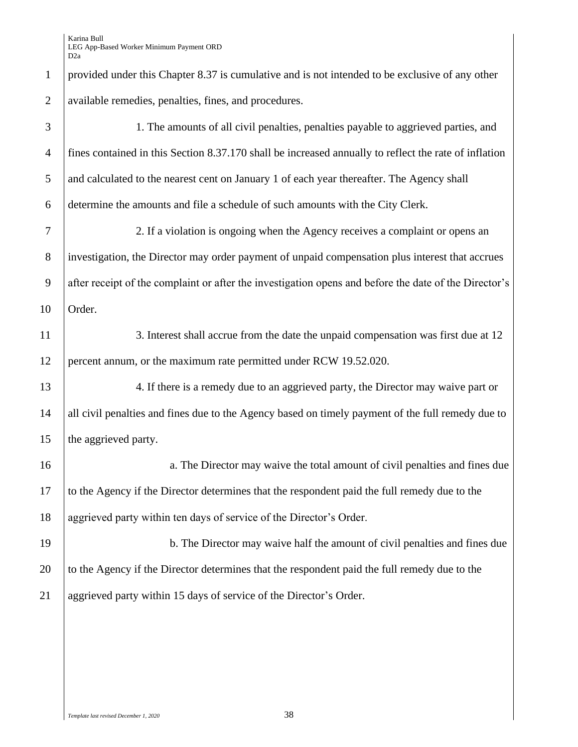| $\mathbf{1}$   | provided under this Chapter 8.37 is cumulative and is not intended to be exclusive of any other       |
|----------------|-------------------------------------------------------------------------------------------------------|
| $\overline{2}$ | available remedies, penalties, fines, and procedures.                                                 |
| 3              | 1. The amounts of all civil penalties, penalties payable to aggrieved parties, and                    |
| $\overline{4}$ | fines contained in this Section 8.37.170 shall be increased annually to reflect the rate of inflation |
| 5              | and calculated to the nearest cent on January 1 of each year thereafter. The Agency shall             |
| 6              | determine the amounts and file a schedule of such amounts with the City Clerk.                        |
| $\tau$         | 2. If a violation is ongoing when the Agency receives a complaint or opens an                         |
| $8\phantom{.}$ | investigation, the Director may order payment of unpaid compensation plus interest that accrues       |
| 9              | after receipt of the complaint or after the investigation opens and before the date of the Director's |
| 10             | Order.                                                                                                |
| 11             | 3. Interest shall accrue from the date the unpaid compensation was first due at 12                    |
| 12             | percent annum, or the maximum rate permitted under RCW 19.52.020.                                     |
| 13             | 4. If there is a remedy due to an aggrieved party, the Director may waive part or                     |
| 14             | all civil penalties and fines due to the Agency based on timely payment of the full remedy due to     |
| 15             | the aggrieved party.                                                                                  |
| 16             | a. The Director may waive the total amount of civil penalties and fines due                           |
| 17             | to the Agency if the Director determines that the respondent paid the full remedy due to the          |
| 18             | aggrieved party within ten days of service of the Director's Order.                                   |
| 19             | b. The Director may waive half the amount of civil penalties and fines due                            |
| 20             | to the Agency if the Director determines that the respondent paid the full remedy due to the          |
| 21             | aggrieved party within 15 days of service of the Director's Order.                                    |
|                |                                                                                                       |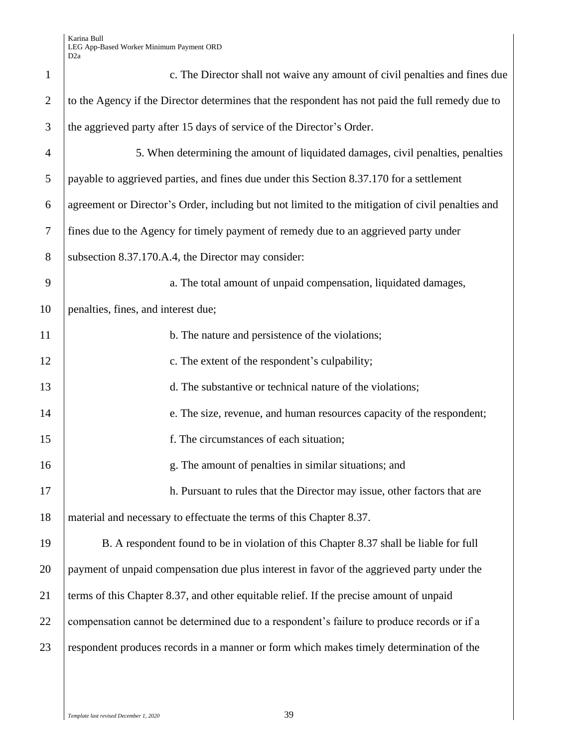| $\mathbf{1}$   | c. The Director shall not waive any amount of civil penalties and fines due                       |
|----------------|---------------------------------------------------------------------------------------------------|
| $\overline{2}$ | to the Agency if the Director determines that the respondent has not paid the full remedy due to  |
| 3              | the aggrieved party after 15 days of service of the Director's Order.                             |
| $\overline{4}$ | 5. When determining the amount of liquidated damages, civil penalties, penalties                  |
| 5              | payable to aggrieved parties, and fines due under this Section 8.37.170 for a settlement          |
| 6              | agreement or Director's Order, including but not limited to the mitigation of civil penalties and |
| $\tau$         | fines due to the Agency for timely payment of remedy due to an aggrieved party under              |
| 8              | subsection 8.37.170.A.4, the Director may consider:                                               |
| 9              | a. The total amount of unpaid compensation, liquidated damages,                                   |
| 10             | penalties, fines, and interest due;                                                               |
| 11             | b. The nature and persistence of the violations;                                                  |
| 12             | c. The extent of the respondent's culpability;                                                    |
| 13             | d. The substantive or technical nature of the violations;                                         |
| 14             | e. The size, revenue, and human resources capacity of the respondent;                             |
| 15             | f. The circumstances of each situation;                                                           |
| 16             | g. The amount of penalties in similar situations; and                                             |
| 17             | h. Pursuant to rules that the Director may issue, other factors that are                          |
| 18             | material and necessary to effectuate the terms of this Chapter 8.37.                              |
| 19             | B. A respondent found to be in violation of this Chapter 8.37 shall be liable for full            |
| 20             | payment of unpaid compensation due plus interest in favor of the aggrieved party under the        |
| 21             | terms of this Chapter 8.37, and other equitable relief. If the precise amount of unpaid           |
| 22             | compensation cannot be determined due to a respondent's failure to produce records or if a        |
| 23             | respondent produces records in a manner or form which makes timely determination of the           |
|                |                                                                                                   |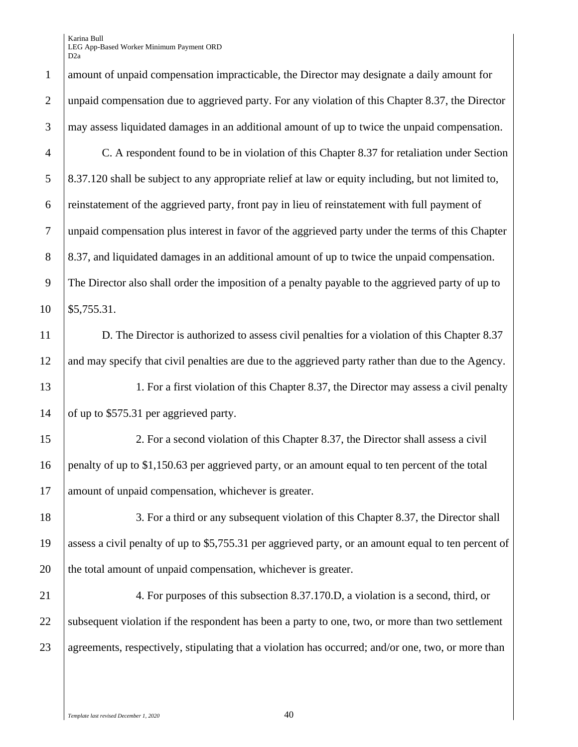amount of unpaid compensation impracticable, the Director may designate a daily amount for unpaid compensation due to aggrieved party. For any violation of this Chapter 8.37, the Director may assess liquidated damages in an additional amount of up to twice the unpaid compensation. C. A respondent found to be in violation of this Chapter 8.37 for retaliation under Section 8.37.120 shall be subject to any appropriate relief at law or equity including, but not limited to, reinstatement of the aggrieved party, front pay in lieu of reinstatement with full payment of unpaid compensation plus interest in favor of the aggrieved party under the terms of this Chapter 8.37, and liquidated damages in an additional amount of up to twice the unpaid compensation. The Director also shall order the imposition of a penalty payable to the aggrieved party of up to \$5,755.31. 11 D. The Director is authorized to assess civil penalties for a violation of this Chapter 8.37 12 and may specify that civil penalties are due to the aggrieved party rather than due to the Agency. 13 1. For a first violation of this Chapter 8.37, the Director may assess a civil penalty 14 of up to \$575.31 per aggrieved party. 2. For a second violation of this Chapter 8.37, the Director shall assess a civil penalty of up to \$1,150.63 per aggrieved party, or an amount equal to ten percent of the total 17 amount of unpaid compensation, whichever is greater. 18 3. For a third or any subsequent violation of this Chapter 8.37, the Director shall assess a civil penalty of up to \$5,755.31 per aggrieved party, or an amount equal to ten percent of 20 the total amount of unpaid compensation, whichever is greater. 4. For purposes of this subsection 8.37.170.D, a violation is a second, third, or 22 Subsequent violation if the respondent has been a party to one, two, or more than two settlement 23 agreements, respectively, stipulating that a violation has occurred; and/or one, two, or more than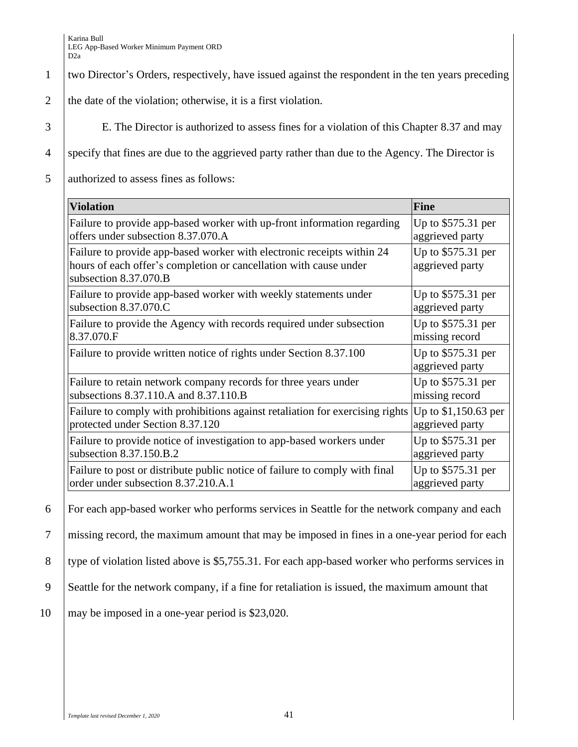## 1 two Director's Orders, respectively, have issued against the respondent in the ten years preceding

2 the date of the violation; otherwise, it is a first violation.

3 E. The Director is authorized to assess fines for a violation of this Chapter 8.37 and may

4 specify that fines are due to the aggrieved party rather than due to the Agency. The Director is

5 authorized to assess fines as follows:

| <b>Violation</b>                                                                                                                                                     | <b>Fine</b>                           |
|----------------------------------------------------------------------------------------------------------------------------------------------------------------------|---------------------------------------|
| Failure to provide app-based worker with up-front information regarding                                                                                              | Up to \$575.31 per                    |
| offers under subsection 8.37.070.A                                                                                                                                   | aggrieved party                       |
| Failure to provide app-based worker with electronic receipts within 24<br>hours of each offer's completion or cancellation with cause under<br>subsection 8.37.070.B | Up to \$575.31 per<br>aggrieved party |
| Failure to provide app-based worker with weekly statements under                                                                                                     | Up to \$575.31 per                    |
| subsection 8.37.070.C                                                                                                                                                | aggrieved party                       |
| Failure to provide the Agency with records required under subsection                                                                                                 | Up to \$575.31 per                    |
| 8.37.070.F                                                                                                                                                           | missing record                        |
| Failure to provide written notice of rights under Section 8.37.100                                                                                                   | Up to \$575.31 per<br>aggrieved party |
| Failure to retain network company records for three years under                                                                                                      | Up to \$575.31 per                    |
| subsections 8.37.110.A and 8.37.110.B                                                                                                                                | missing record                        |
| Failure to comply with prohibitions against retaliation for exercising rights                                                                                        | Up to \$1,150.63 per                  |
| protected under Section 8.37.120                                                                                                                                     | aggrieved party                       |
| Failure to provide notice of investigation to app-based workers under                                                                                                | Up to \$575.31 per                    |
| subsection 8.37.150.B.2                                                                                                                                              | aggrieved party                       |
| Failure to post or distribute public notice of failure to comply with final                                                                                          | Up to \$575.31 per                    |
| order under subsection 8.37.210.A.1                                                                                                                                  | aggrieved party                       |

6 For each app-based worker who performs services in Seattle for the network company and each

7 missing record, the maximum amount that may be imposed in fines in a one-year period for each

8 type of violation listed above is \$5,755.31. For each app-based worker who performs services in

- 9 Seattle for the network company, if a fine for retaliation is issued, the maximum amount that
- 10 | may be imposed in a one-year period is \$23,020.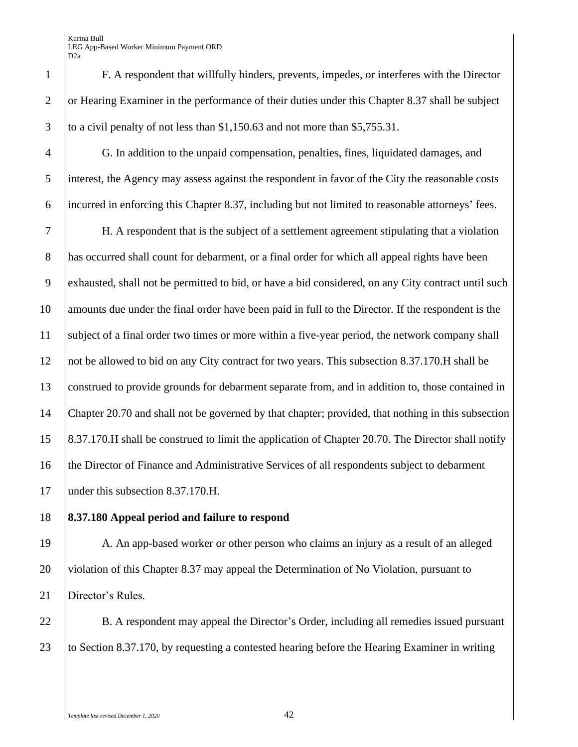4 G. In addition to the unpaid compensation, penalties, fines, liquidated damages, and 5 interest, the Agency may assess against the respondent in favor of the City the reasonable costs 6 incurred in enforcing this Chapter 8.37, including but not limited to reasonable attorneys' fees.

 H. A respondent that is the subject of a settlement agreement stipulating that a violation has occurred shall count for debarment, or a final order for which all appeal rights have been exhausted, shall not be permitted to bid, or have a bid considered, on any City contract until such 10 amounts due under the final order have been paid in full to the Director. If the respondent is the subject of a final order two times or more within a five-year period, the network company shall not be allowed to bid on any City contract for two years. This subsection 8.37.170.H shall be construed to provide grounds for debarment separate from, and in addition to, those contained in 14 Chapter 20.70 and shall not be governed by that chapter; provided, that nothing in this subsection 8.37.170.H shall be construed to limit the application of Chapter 20.70. The Director shall notify the Director of Finance and Administrative Services of all respondents subject to debarment 17 | under this subsection 8.37.170.H.

## 18 **8.37.180 Appeal period and failure to respond**

19 A. An app-based worker or other person who claims an injury as a result of an alleged 20 violation of this Chapter 8.37 may appeal the Determination of No Violation, pursuant to 21 | Director's Rules.

22 B. A respondent may appeal the Director's Order, including all remedies issued pursuant 23 to Section 8.37.170, by requesting a contested hearing before the Hearing Examiner in writing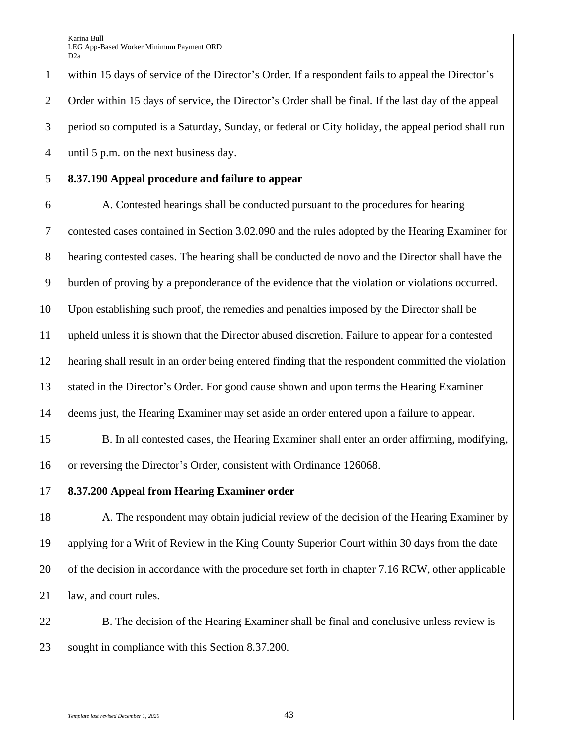within 15 days of service of the Director's Order. If a respondent fails to appeal the Director's Order within 15 days of service, the Director's Order shall be final. If the last day of the appeal period so computed is a Saturday, Sunday, or federal or City holiday, the appeal period shall run until 5 p.m. on the next business day.

## 5 **8.37.190 Appeal procedure and failure to appear**

 A. Contested hearings shall be conducted pursuant to the procedures for hearing contested cases contained in Section 3.02.090 and the rules adopted by the Hearing Examiner for hearing contested cases. The hearing shall be conducted de novo and the Director shall have the burden of proving by a preponderance of the evidence that the violation or violations occurred. Upon establishing such proof, the remedies and penalties imposed by the Director shall be upheld unless it is shown that the Director abused discretion. Failure to appear for a contested hearing shall result in an order being entered finding that the respondent committed the violation stated in the Director's Order. For good cause shown and upon terms the Hearing Examiner 14 deems just, the Hearing Examiner may set aside an order entered upon a failure to appear.

15 B. In all contested cases, the Hearing Examiner shall enter an order affirming, modifying, 16 or reversing the Director's Order, consistent with Ordinance 126068.

### 17 **8.37.200 Appeal from Hearing Examiner order**

18 A. The respondent may obtain judicial review of the decision of the Hearing Examiner by 19 applying for a Writ of Review in the King County Superior Court within 30 days from the date 20 of the decision in accordance with the procedure set forth in chapter 7.16 RCW, other applicable 21 | law, and court rules.

22 B. The decision of the Hearing Examiner shall be final and conclusive unless review is 23 Sought in compliance with this Section 8.37.200.

*Template last revised December 1, 2020* 43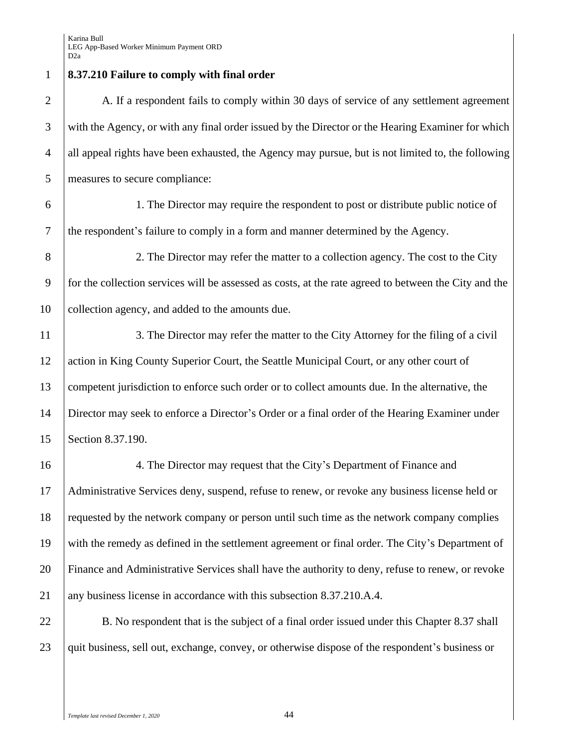**8.37.210 Failure to comply with final order**  2 A. If a respondent fails to comply within 30 days of service of any settlement agreement 3 with the Agency, or with any final order issued by the Director or the Hearing Examiner for which all appeal rights have been exhausted, the Agency may pursue, but is not limited to, the following measures to secure compliance: 1. The Director may require the respondent to post or distribute public notice of the respondent's failure to comply in a form and manner determined by the Agency. 2. The Director may refer the matter to a collection agency. The cost to the City for the collection services will be assessed as costs, at the rate agreed to between the City and the 10 collection agency, and added to the amounts due. 11 3. The Director may refer the matter to the City Attorney for the filing of a civil 12 action in King County Superior Court, the Seattle Municipal Court, or any other court of competent jurisdiction to enforce such order or to collect amounts due. In the alternative, the Director may seek to enforce a Director's Order or a final order of the Hearing Examiner under Section 8.37.190. 4. The Director may request that the City's Department of Finance and Administrative Services deny, suspend, refuse to renew, or revoke any business license held or requested by the network company or person until such time as the network company complies with the remedy as defined in the settlement agreement or final order. The City's Department of Finance and Administrative Services shall have the authority to deny, refuse to renew, or revoke any business license in accordance with this subsection 8.37.210.A.4. 22 B. No respondent that is the subject of a final order issued under this Chapter 8.37 shall 23 quit business, sell out, exchange, convey, or otherwise dispose of the respondent's business or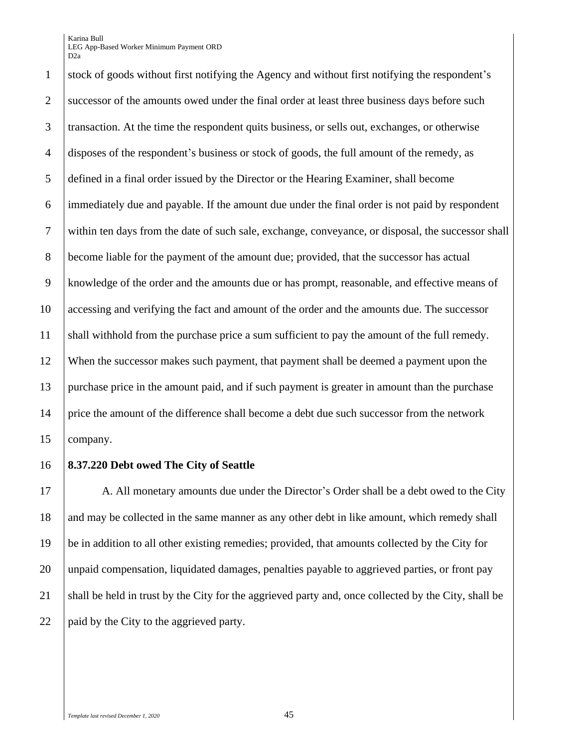stock of goods without first notifying the Agency and without first notifying the respondent's 2 successor of the amounts owed under the final order at least three business days before such transaction. At the time the respondent quits business, or sells out, exchanges, or otherwise disposes of the respondent's business or stock of goods, the full amount of the remedy, as defined in a final order issued by the Director or the Hearing Examiner, shall become immediately due and payable. If the amount due under the final order is not paid by respondent within ten days from the date of such sale, exchange, conveyance, or disposal, the successor shall become liable for the payment of the amount due; provided, that the successor has actual knowledge of the order and the amounts due or has prompt, reasonable, and effective means of accessing and verifying the fact and amount of the order and the amounts due. The successor shall withhold from the purchase price a sum sufficient to pay the amount of the full remedy. When the successor makes such payment, that payment shall be deemed a payment upon the purchase price in the amount paid, and if such payment is greater in amount than the purchase price the amount of the difference shall become a debt due such successor from the network company.

#### **8.37.220 Debt owed The City of Seattle**

17 A. All monetary amounts due under the Director's Order shall be a debt owed to the City 18 and may be collected in the same manner as any other debt in like amount, which remedy shall be in addition to all other existing remedies; provided, that amounts collected by the City for unpaid compensation, liquidated damages, penalties payable to aggrieved parties, or front pay 21 shall be held in trust by the City for the aggrieved party and, once collected by the City, shall be 22 | paid by the City to the aggrieved party.

*Template last revised December 1, 2020* 45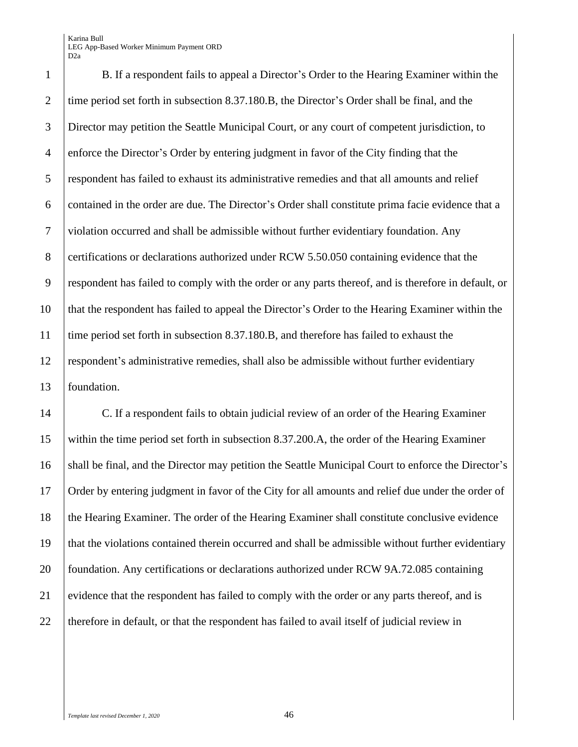B. If a respondent fails to appeal a Director's Order to the Hearing Examiner within the 2 time period set forth in subsection 8.37.180.B, the Director's Order shall be final, and the Director may petition the Seattle Municipal Court, or any court of competent jurisdiction, to enforce the Director's Order by entering judgment in favor of the City finding that the respondent has failed to exhaust its administrative remedies and that all amounts and relief contained in the order are due. The Director's Order shall constitute prima facie evidence that a violation occurred and shall be admissible without further evidentiary foundation. Any 8 certifications or declarations authorized under RCW 5.50.050 containing evidence that the respondent has failed to comply with the order or any parts thereof, and is therefore in default, or that the respondent has failed to appeal the Director's Order to the Hearing Examiner within the time period set forth in subsection 8.37.180.B, and therefore has failed to exhaust the respondent's administrative remedies, shall also be admissible without further evidentiary foundation.

 C. If a respondent fails to obtain judicial review of an order of the Hearing Examiner within the time period set forth in subsection 8.37.200.A, the order of the Hearing Examiner shall be final, and the Director may petition the Seattle Municipal Court to enforce the Director's Order by entering judgment in favor of the City for all amounts and relief due under the order of 18 the Hearing Examiner. The order of the Hearing Examiner shall constitute conclusive evidence that the violations contained therein occurred and shall be admissible without further evidentiary 20 foundation. Any certifications or declarations authorized under RCW 9A.72.085 containing 21 evidence that the respondent has failed to comply with the order or any parts thereof, and is 22 therefore in default, or that the respondent has failed to avail itself of judicial review in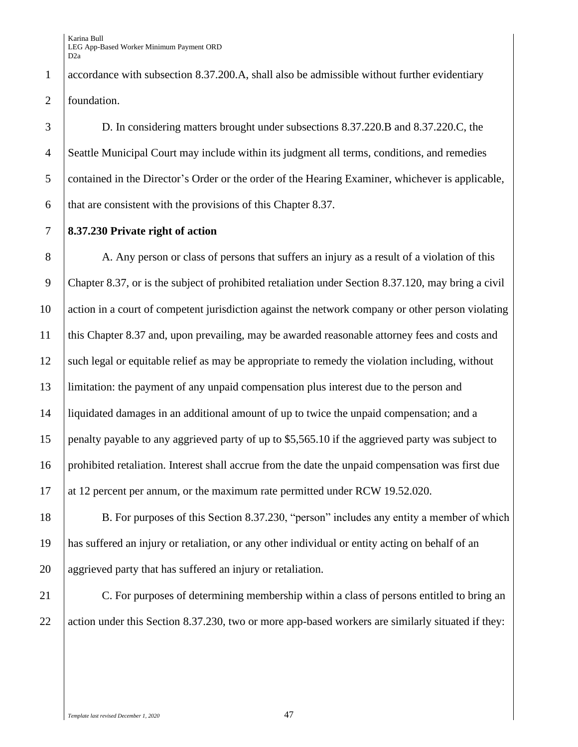1 accordance with subsection 8.37.200.A, shall also be admissible without further evidentiary 2 foundation.

 D. In considering matters brought under subsections 8.37.220.B and 8.37.220.C, the Seattle Municipal Court may include within its judgment all terms, conditions, and remedies 5 contained in the Director's Order or the order of the Hearing Examiner, whichever is applicable,  $\theta$  that are consistent with the provisions of this Chapter 8.37.

7 **8.37.230 Private right of action** 

8 A. Any person or class of persons that suffers an injury as a result of a violation of this Chapter 8.37, or is the subject of prohibited retaliation under Section 8.37.120, may bring a civil action in a court of competent jurisdiction against the network company or other person violating this Chapter 8.37 and, upon prevailing, may be awarded reasonable attorney fees and costs and 12 such legal or equitable relief as may be appropriate to remedy the violation including, without limitation: the payment of any unpaid compensation plus interest due to the person and liquidated damages in an additional amount of up to twice the unpaid compensation; and a penalty payable to any aggrieved party of up to \$5,565.10 if the aggrieved party was subject to prohibited retaliation. Interest shall accrue from the date the unpaid compensation was first due 17 at 12 percent per annum, or the maximum rate permitted under RCW 19.52.020.

18 B. For purposes of this Section 8.37.230, "person" includes any entity a member of which 19 has suffered an injury or retaliation, or any other individual or entity acting on behalf of an 20 aggrieved party that has suffered an injury or retaliation.

21 C. For purposes of determining membership within a class of persons entitled to bring an 22 action under this Section 8.37.230, two or more app-based workers are similarly situated if they: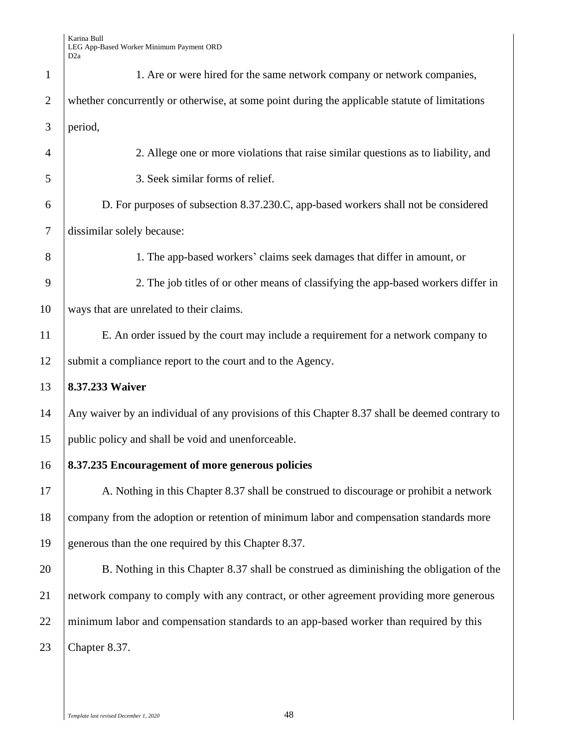| $\mathbf{1}$   | 1. Are or were hired for the same network company or network companies,                        |
|----------------|------------------------------------------------------------------------------------------------|
| 2              | whether concurrently or otherwise, at some point during the applicable statute of limitations  |
| 3              | period,                                                                                        |
| $\overline{4}$ | 2. Allege one or more violations that raise similar questions as to liability, and             |
| 5              | 3. Seek similar forms of relief.                                                               |
| 6              | D. For purposes of subsection 8.37.230.C, app-based workers shall not be considered            |
| $\overline{7}$ | dissimilar solely because:                                                                     |
| 8              | 1. The app-based workers' claims seek damages that differ in amount, or                        |
| 9              | 2. The job titles of or other means of classifying the app-based workers differ in             |
| 10             | ways that are unrelated to their claims.                                                       |
| 11             | E. An order issued by the court may include a requirement for a network company to             |
| 12             | submit a compliance report to the court and to the Agency.                                     |
| 13             | 8.37.233 Waiver                                                                                |
| 14             | Any waiver by an individual of any provisions of this Chapter 8.37 shall be deemed contrary to |
| 15             | public policy and shall be void and unenforceable.                                             |
| 16             | 8.37.235 Encouragement of more generous policies                                               |
| 17             | A. Nothing in this Chapter 8.37 shall be construed to discourage or prohibit a network         |
| 18             | company from the adoption or retention of minimum labor and compensation standards more        |
| 19             | generous than the one required by this Chapter 8.37.                                           |
| 20             | B. Nothing in this Chapter 8.37 shall be construed as diminishing the obligation of the        |
| 21             | network company to comply with any contract, or other agreement providing more generous        |
| 22             | minimum labor and compensation standards to an app-based worker than required by this          |
| 23             | Chapter 8.37.                                                                                  |
|                |                                                                                                |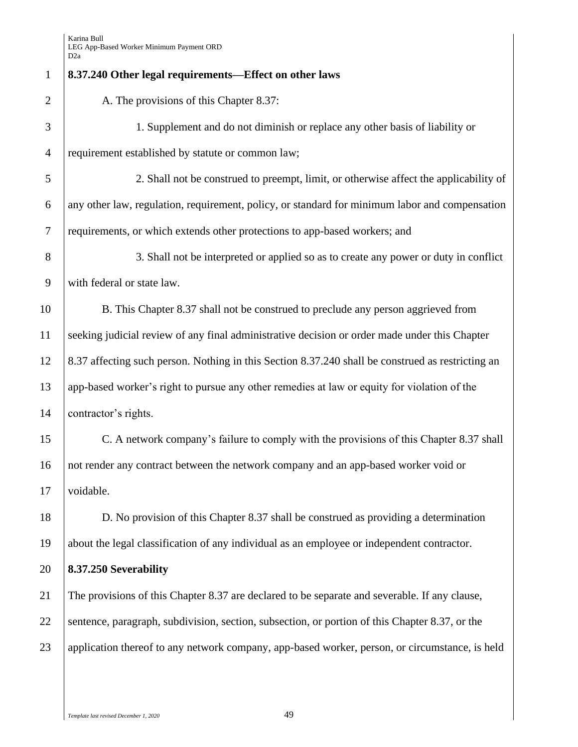| $\mathbf{1}$   | 8.37.240 Other legal requirements-Effect on other laws                                            |
|----------------|---------------------------------------------------------------------------------------------------|
| $\overline{2}$ | A. The provisions of this Chapter 8.37:                                                           |
| 3              | 1. Supplement and do not diminish or replace any other basis of liability or                      |
| $\overline{4}$ | requirement established by statute or common law;                                                 |
| 5              | 2. Shall not be construed to preempt, limit, or otherwise affect the applicability of             |
| 6              | any other law, regulation, requirement, policy, or standard for minimum labor and compensation    |
| $\overline{7}$ | requirements, or which extends other protections to app-based workers; and                        |
| 8              | 3. Shall not be interpreted or applied so as to create any power or duty in conflict              |
| 9              | with federal or state law.                                                                        |
| 10             | B. This Chapter 8.37 shall not be construed to preclude any person aggrieved from                 |
| 11             | seeking judicial review of any final administrative decision or order made under this Chapter     |
| 12             | 8.37 affecting such person. Nothing in this Section 8.37.240 shall be construed as restricting an |
| 13             | app-based worker's right to pursue any other remedies at law or equity for violation of the       |
| 14             | contractor's rights.                                                                              |
| 15             | C. A network company's failure to comply with the provisions of this Chapter 8.37 shall           |
| 16             | not render any contract between the network company and an app-based worker void or               |
| 17             | voidable.                                                                                         |
| 18             | D. No provision of this Chapter 8.37 shall be construed as providing a determination              |
| 19             | about the legal classification of any individual as an employee or independent contractor.        |
| 20             | 8.37.250 Severability                                                                             |
| 21             | The provisions of this Chapter 8.37 are declared to be separate and severable. If any clause,     |
| 22             | sentence, paragraph, subdivision, section, subsection, or portion of this Chapter 8.37, or the    |
| 23             | application thereof to any network company, app-based worker, person, or circumstance, is held    |
|                |                                                                                                   |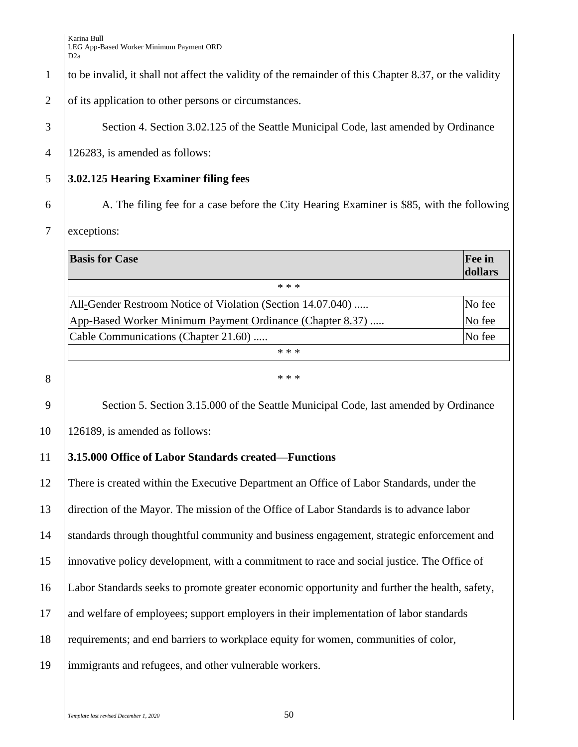1 to be invalid, it shall not affect the validity of the remainder of this Chapter 8.37, or the validity

2 of its application to other persons or circumstances.

3 | Section 4. Section 3.02.125 of the Seattle Municipal Code, last amended by Ordinance

4 126283, is amended as follows:

# 5 **3.02.125 Hearing Examiner filing fees**

6 A. The filing fee for a case before the City Hearing Examiner is \$85, with the following

## 7 exceptions:

| <b>Basis for Case</b>                                       | <b>Fee in</b><br>dollars |
|-------------------------------------------------------------|--------------------------|
| * * *                                                       |                          |
| All-Gender Restroom Notice of Violation (Section 14.07.040) | No fee                   |
| App-Based Worker Minimum Payment Ordinance (Chapter 8.37)   | No fee                   |
| Cable Communications (Chapter 21.60)                        | No fee                   |
| * * *                                                       |                          |

8  $^*$ 

9 Section 5. Section 3.15.000 of the Seattle Municipal Code, last amended by Ordinance

10 126189, is amended as follows:

# 11 **3.15.000 Office of Labor Standards created—Functions**

 There is created within the Executive Department an Office of Labor Standards, under the direction of the Mayor. The mission of the Office of Labor Standards is to advance labor standards through thoughtful community and business engagement, strategic enforcement and innovative policy development, with a commitment to race and social justice. The Office of Labor Standards seeks to promote greater economic opportunity and further the health, safety, and welfare of employees; support employers in their implementation of labor standards requirements; and end barriers to workplace equity for women, communities of color, immigrants and refugees, and other vulnerable workers.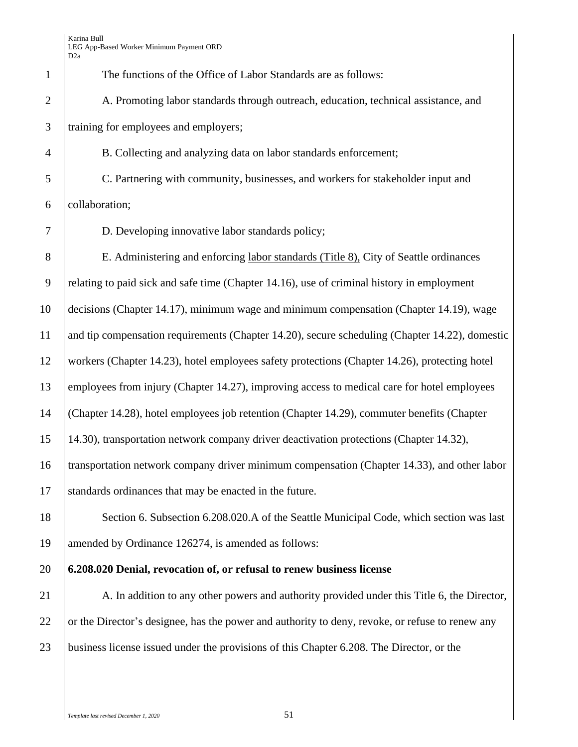| $\mathbf{1}$   | The functions of the Office of Labor Standards are as follows:                                  |
|----------------|-------------------------------------------------------------------------------------------------|
| $\overline{2}$ | A. Promoting labor standards through outreach, education, technical assistance, and             |
| 3              | training for employees and employers;                                                           |
| $\overline{4}$ | B. Collecting and analyzing data on labor standards enforcement;                                |
| 5              | C. Partnering with community, businesses, and workers for stakeholder input and                 |
| 6              | collaboration;                                                                                  |
| 7              | D. Developing innovative labor standards policy;                                                |
| 8              | E. Administering and enforcing labor standards (Title 8), City of Seattle ordinances            |
| 9              | relating to paid sick and safe time (Chapter 14.16), use of criminal history in employment      |
| 10             | decisions (Chapter 14.17), minimum wage and minimum compensation (Chapter 14.19), wage          |
| 11             | and tip compensation requirements (Chapter 14.20), secure scheduling (Chapter 14.22), domestic  |
| 12             | workers (Chapter 14.23), hotel employees safety protections (Chapter 14.26), protecting hotel   |
| 13             | employees from injury (Chapter 14.27), improving access to medical care for hotel employees     |
| 14             | (Chapter 14.28), hotel employees job retention (Chapter 14.29), commuter benefits (Chapter      |
| 15             | 14.30), transportation network company driver deactivation protections (Chapter 14.32),         |
| 16             | transportation network company driver minimum compensation (Chapter 14.33), and other labor     |
| 17             | standards ordinances that may be enacted in the future.                                         |
| 18             | Section 6. Subsection 6.208.020.A of the Seattle Municipal Code, which section was last         |
| 19             | amended by Ordinance 126274, is amended as follows:                                             |
| 20             | 6.208.020 Denial, revocation of, or refusal to renew business license                           |
| 21             | A. In addition to any other powers and authority provided under this Title 6, the Director,     |
| 22             | or the Director's designee, has the power and authority to deny, revoke, or refuse to renew any |
| 23             | business license issued under the provisions of this Chapter 6.208. The Director, or the        |
|                |                                                                                                 |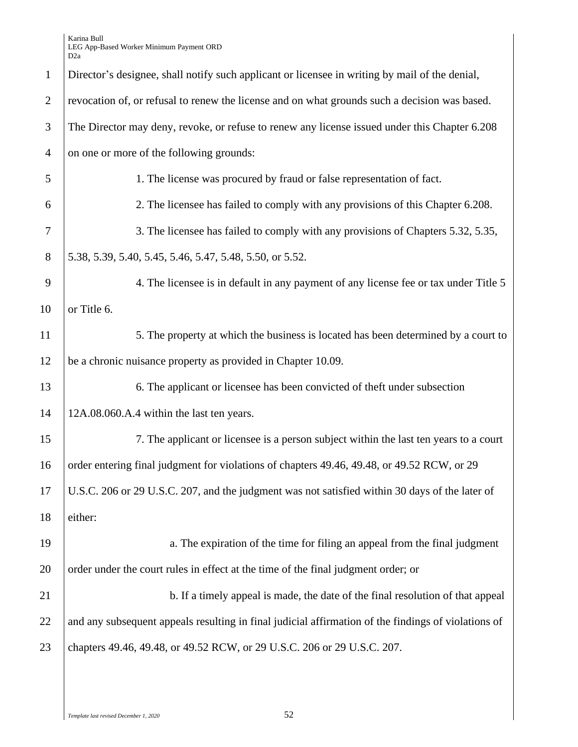|                | D∠a                                                                                                 |  |  |  |  |
|----------------|-----------------------------------------------------------------------------------------------------|--|--|--|--|
| $\mathbf{1}$   | Director's designee, shall notify such applicant or licensee in writing by mail of the denial,      |  |  |  |  |
| $\overline{2}$ | revocation of, or refusal to renew the license and on what grounds such a decision was based.       |  |  |  |  |
| 3              | The Director may deny, revoke, or refuse to renew any license issued under this Chapter 6.208       |  |  |  |  |
| $\overline{4}$ | on one or more of the following grounds:                                                            |  |  |  |  |
| 5              | 1. The license was procured by fraud or false representation of fact.                               |  |  |  |  |
| 6              | 2. The licensee has failed to comply with any provisions of this Chapter 6.208.                     |  |  |  |  |
| 7              | 3. The licensee has failed to comply with any provisions of Chapters 5.32, 5.35,                    |  |  |  |  |
| $8\,$          | 5.38, 5.39, 5.40, 5.45, 5.46, 5.47, 5.48, 5.50, or 5.52.                                            |  |  |  |  |
| 9              | 4. The licensee is in default in any payment of any license fee or tax under Title 5                |  |  |  |  |
| 10             | or Title 6.                                                                                         |  |  |  |  |
| 11             | 5. The property at which the business is located has been determined by a court to                  |  |  |  |  |
| 12             | be a chronic nuisance property as provided in Chapter 10.09.                                        |  |  |  |  |
| 13             | 6. The applicant or licensee has been convicted of theft under subsection                           |  |  |  |  |
| 14             | 12A.08.060.A.4 within the last ten years.                                                           |  |  |  |  |
| 15             | 7. The applicant or licensee is a person subject within the last ten years to a court               |  |  |  |  |
| 16             | order entering final judgment for violations of chapters 49.46, 49.48, or 49.52 RCW, or 29          |  |  |  |  |
| 17             | U.S.C. 206 or 29 U.S.C. 207, and the judgment was not satisfied within 30 days of the later of      |  |  |  |  |
| 18             | either:                                                                                             |  |  |  |  |
| 19             | a. The expiration of the time for filing an appeal from the final judgment                          |  |  |  |  |
| 20             | order under the court rules in effect at the time of the final judgment order; or                   |  |  |  |  |
| 21             | b. If a timely appeal is made, the date of the final resolution of that appeal                      |  |  |  |  |
| 22             | and any subsequent appeals resulting in final judicial affirmation of the findings of violations of |  |  |  |  |
| 23             | chapters 49.46, 49.48, or 49.52 RCW, or 29 U.S.C. 206 or 29 U.S.C. 207.                             |  |  |  |  |
|                |                                                                                                     |  |  |  |  |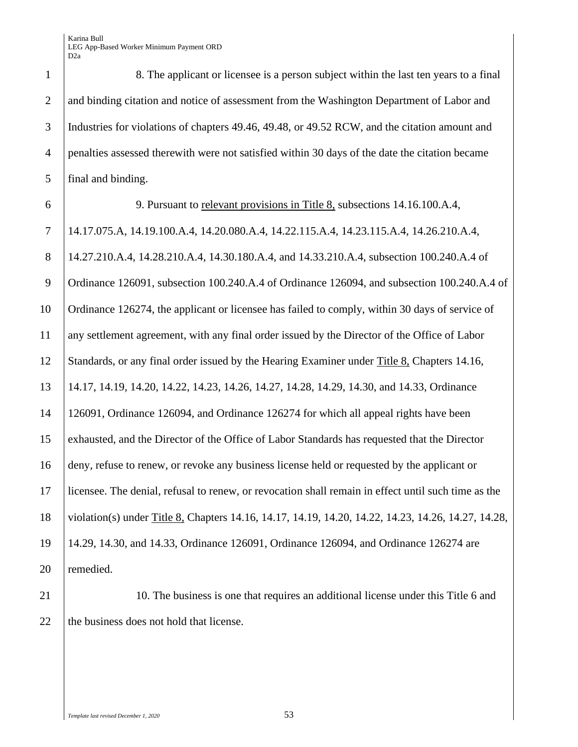8. The applicant or licensee is a person subject within the last ten years to a final and binding citation and notice of assessment from the Washington Department of Labor and 3 Industries for violations of chapters 49.46, 49.48, or 49.52 RCW, and the citation amount and penalties assessed therewith were not satisfied within 30 days of the date the citation became final and binding.

# 9. Pursuant to relevant provisions in Title 8, subsections 14.16.100.A.4,

 14.17.075.A, 14.19.100.A.4, 14.20.080.A.4, 14.22.115.A.4, 14.23.115.A.4, 14.26.210.A.4, 14.27.210.A.4, 14.28.210.A.4, 14.30.180.A.4, and 14.33.210.A.4, subsection 100.240.A.4 of Ordinance 126091, subsection 100.240.A.4 of Ordinance 126094, and subsection 100.240.A.4 of Ordinance 126274, the applicant or licensee has failed to comply, within 30 days of service of any settlement agreement, with any final order issued by the Director of the Office of Labor Standards, or any final order issued by the Hearing Examiner under Title 8, Chapters 14.16, 14.17, 14.19, 14.20, 14.22, 14.23, 14.26, 14.27, 14.28, 14.29, 14.30, and 14.33, Ordinance 126091, Ordinance 126094, and Ordinance 126274 for which all appeal rights have been exhausted, and the Director of the Office of Labor Standards has requested that the Director deny, refuse to renew, or revoke any business license held or requested by the applicant or licensee. The denial, refusal to renew, or revocation shall remain in effect until such time as the violation(s) under Title 8, Chapters 14.16, 14.17, 14.19, 14.20, 14.22, 14.23, 14.26, 14.27, 14.28, 14.29, 14.30, and 14.33, Ordinance 126091, Ordinance 126094, and Ordinance 126274 are remedied.

21 10. The business is one that requires an additional license under this Title 6 and 22 the business does not hold that license.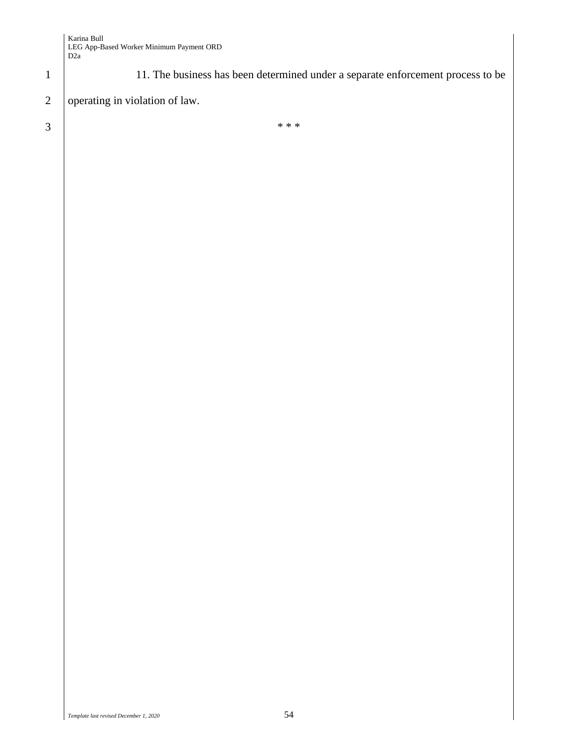1 11. The business has been determined under a separate enforcement process to be

# 2 operating in violation of law.

 $3 \mid$  \*\*\*